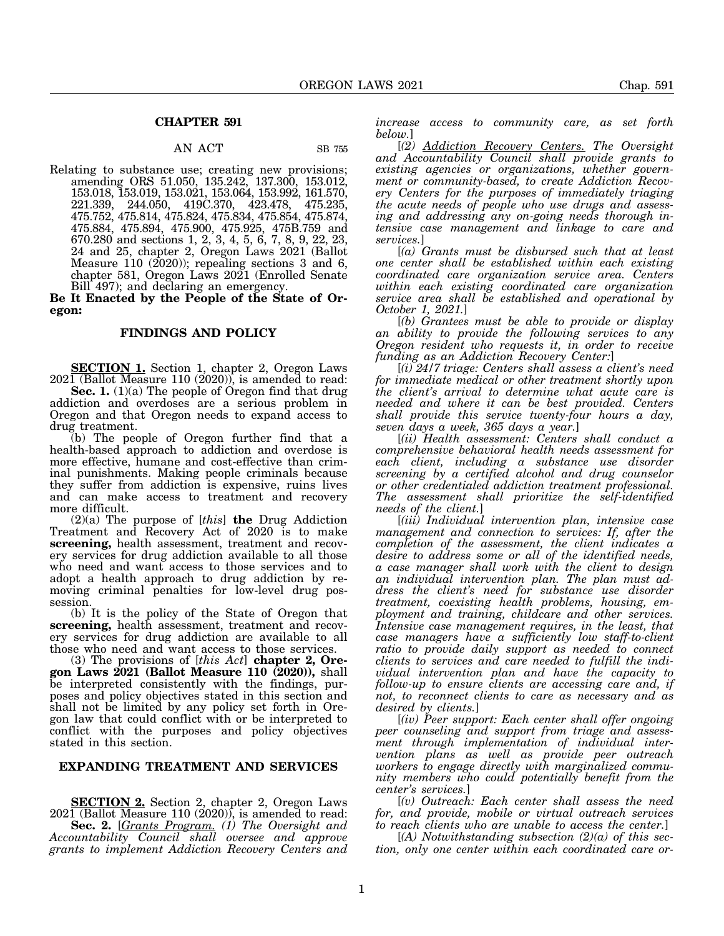## **CHAPTER 591**

# AN ACT SB 755

Relating to substance use; creating new provisions; amending ORS 51.050, 135.242, 137.300, 153.012, 153.018, 153.019, 153.021, 153.064, 153.992, 161.570, 221.339, 244.050, 419C.370, 423.478, 475.235, 475.752, 475.814, 475.824, 475.834, 475.854, 475.874, 475.884, 475.894, 475.900, 475.925, 475B.759 and 670.280 and sections 1, 2, 3, 4, 5, 6, 7, 8, 9, 22, 23, 24 and 25, chapter 2, Oregon Laws 2021 (Ballot Measure 110 (2020)); repealing sections 3 and 6, chapter 581, Oregon Laws 2021 (Enrolled Senate Bill 497); and declaring an emergency.

**Be It Enacted by the People of the State of Oregon:**

#### **FINDINGS AND POLICY**

**SECTION 1.** Section 1, chapter 2, Oregon Laws 2021 (Ballot Measure 110 (2020)), is amended to read:

**Sec. 1.** (1)(a) The people of Oregon find that drug addiction and overdoses are a serious problem in Oregon and that Oregon needs to expand access to drug treatment.

(b) The people of Oregon further find that a health-based approach to addiction and overdose is more effective, humane and cost-effective than criminal punishments. Making people criminals because they suffer from addiction is expensive, ruins lives and can make access to treatment and recovery more difficult.

(2)(a) The purpose of [*this*] **the** Drug Addiction Treatment and Recovery Act of 2020 is to make **screening,** health assessment, treatment and recovery services for drug addiction available to all those who need and want access to those services and to adopt a health approach to drug addiction by removing criminal penalties for low-level drug possession.

(b) It is the policy of the State of Oregon that **screening,** health assessment, treatment and recovery services for drug addiction are available to all those who need and want access to those services.

(3) The provisions of [*this Act*] **chapter 2, Oregon Laws 2021 (Ballot Measure 110 (2020)),** shall be interpreted consistently with the findings, purposes and policy objectives stated in this section and shall not be limited by any policy set forth in Oregon law that could conflict with or be interpreted to conflict with the purposes and policy objectives stated in this section.

### **EXPANDING TREATMENT AND SERVICES**

**SECTION 2.** Section 2, chapter 2, Oregon Laws 2021 (Ballot Measure 110 (2020)), is amended to read: **Sec. 2.** [*Grants Program. (1) The Oversight and Accountability Council shall oversee and approve grants to implement Addiction Recovery Centers and* *increase access to community care, as set forth below.*]

[*(2) Addiction Recovery Centers. The Oversight and Accountability Council shall provide grants to existing agencies or organizations, whether government or community-based, to create Addiction Recovery Centers for the purposes of immediately triaging the acute needs of people who use drugs and assessing and addressing any on-going needs thorough intensive case management and linkage to care and services.*]

[*(a) Grants must be disbursed such that at least one center shall be established within each existing coordinated care organization service area. Centers within each existing coordinated care organization service area shall be established and operational by October 1, 2021.*]

[*(b) Grantees must be able to provide or display an ability to provide the following services to any Oregon resident who requests it, in order to receive funding as an Addiction Recovery Center:*]

[*(i) 24/7 triage: Centers shall assess a client's need for immediate medical or other treatment shortly upon the client's arrival to determine what acute care is needed and where it can be best provided. Centers shall provide this service twenty-four hours a day, seven days a week, 365 days a year.*]

[*(ii) Health assessment: Centers shall conduct a comprehensive behavioral health needs assessment for each client, including a substance use disorder screening by a certified alcohol and drug counselor or other credentialed addiction treatment professional. The assessment shall prioritize the self-identified needs of the client.*]

[*(iii) Individual intervention plan, intensive case management and connection to services: If, after the completion of the assessment, the client indicates a desire to address some or all of the identified needs, a case manager shall work with the client to design an individual intervention plan. The plan must address the client's need for substance use disorder treatment, coexisting health problems, housing, employment and training, childcare and other services. Intensive case management requires, in the least, that case managers have a sufficiently low staff-to-client ratio to provide daily support as needed to connect clients to services and care needed to fulfill the individual intervention plan and have the capacity to follow-up to ensure clients are accessing care and, if not, to reconnect clients to care as necessary and as desired by clients.*]

[*(iv) Peer support: Each center shall offer ongoing peer counseling and support from triage and assessment through implementation of individual intervention plans as well as provide peer outreach workers to engage directly with marginalized community members who could potentially benefit from the center's services.*]

[*(v) Outreach: Each center shall assess the need for, and provide, mobile or virtual outreach services to reach clients who are unable to access the center.*]

[*(A) Notwithstanding subsection (2)(a) of this section, only one center within each coordinated care or-*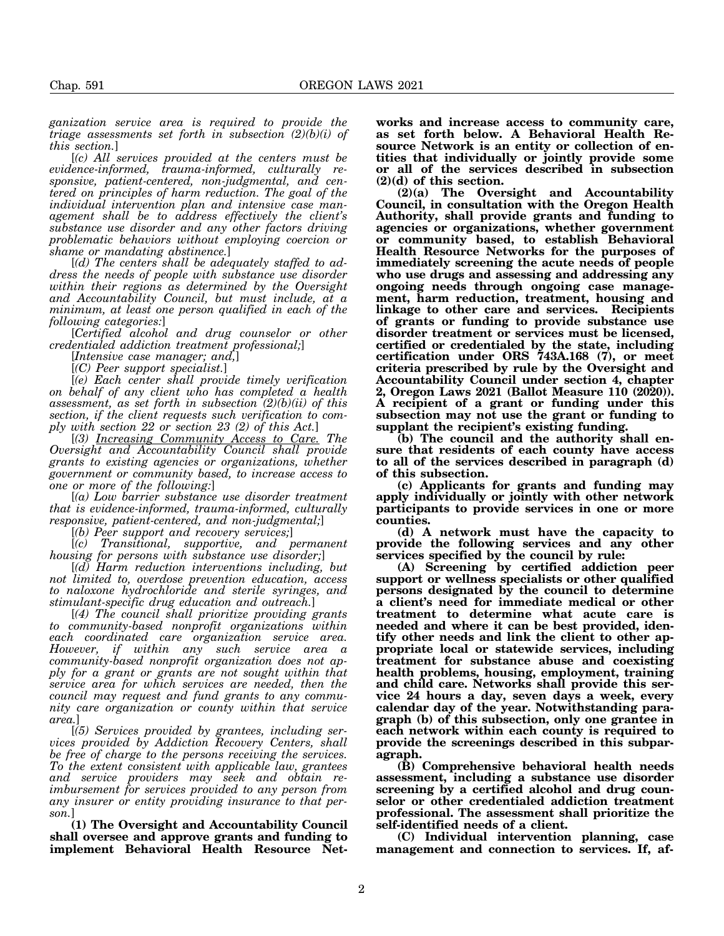*ganization service area is required to provide the triage assessments set forth in subsection (2)(b)(i) of this section.*]

[*(c) All services provided at the centers must be evidence-informed, trauma-informed, culturally responsive, patient-centered, non-judgmental, and centered on principles of harm reduction. The goal of the individual intervention plan and intensive case management shall be to address effectively the client's substance use disorder and any other factors driving problematic behaviors without employing coercion or shame or mandating abstinence.*]

[*(d) The centers shall be adequately staffed to address the needs of people with substance use disorder within their regions as determined by the Oversight and Accountability Council, but must include, at a minimum, at least one person qualified in each of the following categories:*]

[*Certified alcohol and drug counselor or other credentialed addiction treatment professional;*]

[*Intensive case manager; and,*]

[*(C) Peer support specialist.*]

[*(e) Each center shall provide timely verification on behalf of any client who has completed a health assessment, as set forth in subsection (2)(b)(ii) of this section, if the client requests such verification to comply with section 22 or section 23 (2) of this Act.*]

[*(3) Increasing Community Access to Care. The Oversight and Accountability Council shall provide grants to existing agencies or organizations, whether government or community based, to increase access to one or more of the following:*]

[*(a) Low barrier substance use disorder treatment that is evidence-informed, trauma-informed, culturally responsive, patient-centered, and non-judgmental;*]

[*(b) Peer support and recovery services;*]

[*(c) Transitional, supportive, and permanent housing for persons with substance use disorder;*]

[*(d) Harm reduction interventions including, but not limited to, overdose prevention education, access to naloxone hydrochloride and sterile syringes, and stimulant-specific drug education and outreach.*]

[*(4) The council shall prioritize providing grants to community-based nonprofit organizations within each coordinated care organization service area. However, if within any such service area a community-based nonprofit organization does not apply for a grant or grants are not sought within that service area for which services are needed, then the council may request and fund grants to any community care organization or county within that service area.*]

[*(5) Services provided by grantees, including services provided by Addiction Recovery Centers, shall be free of charge to the persons receiving the services. To the extent consistent with applicable law, grantees and service providers may seek and obtain reimbursement for services provided to any person from any insurer or entity providing insurance to that person.*]

**(1) The Oversight and Accountability Council shall oversee and approve grants and funding to implement Behavioral Health Resource Net-** **works and increase access to community care, as set forth below. A Behavioral Health Resource Network is an entity or collection of entities that individually or jointly provide some or all of the services described in subsection (2)(d) of this section.**

**(2)(a) The Oversight and Accountability Council, in consultation with the Oregon Health Authority, shall provide grants and funding to agencies or organizations, whether government or community based, to establish Behavioral Health Resource Networks for the purposes of immediately screening the acute needs of people who use drugs and assessing and addressing any ongoing needs through ongoing case management, harm reduction, treatment, housing and linkage to other care and services. Recipients of grants or funding to provide substance use disorder treatment or services must be licensed, certified or credentialed by the state, including certification under ORS 743A.168 (7), or meet criteria prescribed by rule by the Oversight and Accountability Council under section 4, chapter 2, Oregon Laws 2021 (Ballot Measure 110 (2020)). A recipient of a grant or funding under this subsection may not use the grant or funding to supplant the recipient's existing funding.**

**(b) The council and the authority shall ensure that residents of each county have access to all of the services described in paragraph (d) of this subsection.**

**(c) Applicants for grants and funding may apply individually or jointly with other network participants to provide services in one or more counties.**

**(d) A network must have the capacity to provide the following services and any other services specified by the council by rule:**

**(A) Screening by certified addiction peer support or wellness specialists or other qualified persons designated by the council to determine a client's need for immediate medical or other treatment to determine what acute care is needed and where it can be best provided, identify other needs and link the client to other appropriate local or statewide services, including treatment for substance abuse and coexisting health problems, housing, employment, training and child care. Networks shall provide this service 24 hours a day, seven days a week, every calendar day of the year. Notwithstanding paragraph (b) of this subsection, only one grantee in each network within each county is required to provide the screenings described in this subparagraph.**

**(B) Comprehensive behavioral health needs assessment, including a substance use disorder screening by a certified alcohol and drug counselor or other credentialed addiction treatment professional. The assessment shall prioritize the self-identified needs of a client.**

**(C) Individual intervention planning, case management and connection to services. If, af-**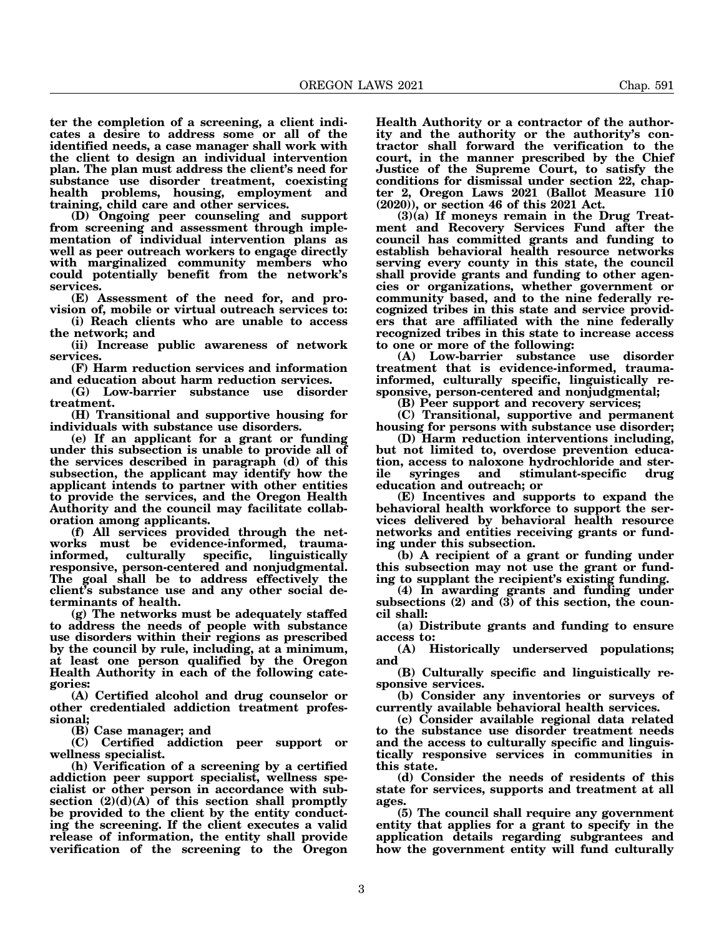**ter the completion of a screening, a client indicates a desire to address some or all of the identified needs, a case manager shall work with the client to design an individual intervention plan. The plan must address the client's need for**

**substance use disorder treatment, coexisting health problems, housing, employment and training, child care and other services. (D) Ongoing peer counseling and support**

**from screening and assessment through implementation of individual intervention plans as well as peer outreach workers to engage directly with marginalized community members who could potentially benefit from the network's services.**

**(E) Assessment of the need for, and provision of, mobile or virtual outreach services to:**

**(i) Reach clients who are unable to access the network; and**

**(ii) Increase public awareness of network services.**

**(F) Harm reduction services and information and education about harm reduction services.**

**(G) Low-barrier substance use disorder treatment.**

**(H) Transitional and supportive housing for individuals with substance use disorders.**

**(e) If an applicant for a grant or funding under this subsection is unable to provide all of the services described in paragraph (d) of this subsection, the applicant may identify how the applicant intends to partner with other entities to provide the services, and the Oregon Health Authority and the council may facilitate collaboration among applicants.**

**(f) All services provided through the networks must be evidence-informed, traumainformed, culturally specific, linguistically responsive, person-centered and nonjudgmental. The goal shall be to address effectively the client's substance use and any other social determinants of health.**

**(g) The networks must be adequately staffed to address the needs of people with substance use disorders within their regions as prescribed by the council by rule, including, at a minimum, at least one person qualified by the Oregon Health Authority in each of the following categories:**

**(A) Certified alcohol and drug counselor or other credentialed addiction treatment professional;**

**(B) Case manager; and**

**(C) Certified addiction peer support or wellness specialist.**

**(h) Verification of a screening by a certified addiction peer support specialist, wellness specialist or other person in accordance with subsection (2)(d)(A) of this section shall promptly be provided to the client by the entity conducting the screening. If the client executes a valid release of information, the entity shall provide verification of the screening to the Oregon** **Health Authority or a contractor of the authority and the authority or the authority's contractor shall forward the verification to the court, in the manner prescribed by the Chief Justice of the Supreme Court, to satisfy the conditions for dismissal under section 22, chapter 2, Oregon Laws 2021 (Ballot Measure 110 (2020)), or section 46 of this 2021 Act.**

**(3)(a) If moneys remain in the Drug Treatment and Recovery Services Fund after the council has committed grants and funding to establish behavioral health resource networks serving every county in this state, the council shall provide grants and funding to other agencies or organizations, whether government or community based, and to the nine federally recognized tribes in this state and service providers that are affiliated with the nine federally recognized tribes in this state to increase access to one or more of the following:**

**(A) Low-barrier substance use disorder treatment that is evidence-informed, traumainformed, culturally specific, linguistically responsive, person-centered and nonjudgmental;**

**(B) Peer support and recovery services;**

**(C) Transitional, supportive and permanent housing for persons with substance use disorder;**

**(D) Harm reduction interventions including, but not limited to, overdose prevention education, access to naloxone hydrochloride and sterile syringes and stimulant-specific drug education and outreach; or**

**(E) Incentives and supports to expand the behavioral health workforce to support the services delivered by behavioral health resource networks and entities receiving grants or funding under this subsection.**

**(b) A recipient of a grant or funding under this subsection may not use the grant or funding to supplant the recipient's existing funding.**

**(4) In awarding grants and funding under subsections (2) and (3) of this section, the council shall:**

**(a) Distribute grants and funding to ensure access to:**

**(A) Historically underserved populations; and**

**(B) Culturally specific and linguistically responsive services.**

**(b) Consider any inventories or surveys of currently available behavioral health services.**

**(c) Consider available regional data related to the substance use disorder treatment needs and the access to culturally specific and linguistically responsive services in communities in this state.**

**(d) Consider the needs of residents of this state for services, supports and treatment at all ages.**

**(5) The council shall require any government entity that applies for a grant to specify in the application details regarding subgrantees and how the government entity will fund culturally**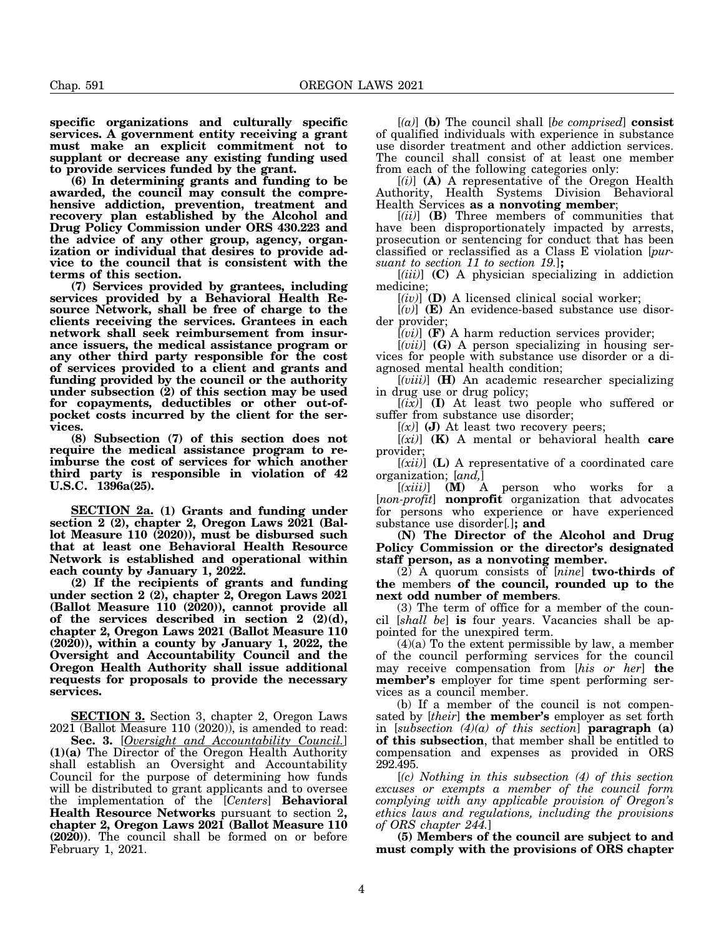**specific organizations and culturally specific services. A government entity receiving a grant must make an explicit commitment not to supplant or decrease any existing funding used to provide services funded by the grant.**

**(6) In determining grants and funding to be awarded, the council may consult the comprehensive addiction, prevention, treatment and recovery plan established by the Alcohol and Drug Policy Commission under ORS 430.223 and the advice of any other group, agency, organization or individual that desires to provide advice to the council that is consistent with the terms of this section.**

**(7) Services provided by grantees, including services provided by a Behavioral Health Resource Network, shall be free of charge to the clients receiving the services. Grantees in each network shall seek reimbursement from insurance issuers, the medical assistance program or any other third party responsible for the cost of services provided to a client and grants and funding provided by the council or the authority under subsection (2) of this section may be used for copayments, deductibles or other out-ofpocket costs incurred by the client for the services.**

**(8) Subsection (7) of this section does not require the medical assistance program to reimburse the cost of services for which another third party is responsible in violation of 42 U.S.C. 1396a(25).**

**SECTION 2a. (1) Grants and funding under section 2 (2), chapter 2, Oregon Laws 2021 (Ballot Measure 110 (2020)), must be disbursed such that at least one Behavioral Health Resource Network is established and operational within each county by January 1, 2022.**

**(2) If the recipients of grants and funding under section 2 (2), chapter 2, Oregon Laws 2021 (Ballot Measure 110 (2020)), cannot provide all of the services described in section 2 (2)(d), chapter 2, Oregon Laws 2021 (Ballot Measure 110 (2020)), within a county by January 1, 2022, the Oversight and Accountability Council and the Oregon Health Authority shall issue additional requests for proposals to provide the necessary services.**

**SECTION 3.** Section 3, chapter 2, Oregon Laws  $2021$  (Ballot Measure 110 (2020)), is amended to read:

**Sec. 3.** [*Oversight and Accountability Council.*] **(1)(a)** The Director of the Oregon Health Authority shall establish an Oversight and Accountability Council for the purpose of determining how funds will be distributed to grant applicants and to oversee the implementation of the [*Centers*] **Behavioral Health Resource Networks** pursuant to section 2**, chapter 2, Oregon Laws 2021 (Ballot Measure 110 (2020))**. The council shall be formed on or before February 1, 2021.

[*(a)*] **(b)** The council shall [*be comprised*] **consist** of qualified individuals with experience in substance use disorder treatment and other addiction services. The council shall consist of at least one member from each of the following categories only:

[*(i)*] **(A)** A representative of the Oregon Health Authority, Health Systems Division Behavioral Health Services **as a nonvoting member**;

[*(ii)*] **(B)** Three members of communities that have been disproportionately impacted by arrests, prosecution or sentencing for conduct that has been classified or reclassified as a Class E violation [*pursuant to section 11 to section 19.*]**;**

[*(iii)*] **(C)** A physician specializing in addiction medicine;

[*(iv)*] **(D)** A licensed clinical social worker;

[*(v)*] **(E)** An evidence-based substance use disorder provider;

[*(vi)*] **(F)** A harm reduction services provider;

[*(vii)*] **(G)** A person specializing in housing services for people with substance use disorder or a diagnosed mental health condition;

[*(viii)*] **(H)** An academic researcher specializing in drug use or drug policy;

[*(ix)*] **(I)** At least two people who suffered or suffer from substance use disorder;

 $[(x)]$  (J) At least two recovery peers;

[*(xi)*] **(K)** A mental or behavioral health **care** provider;

[*(xii)*] **(L)** A representative of a coordinated care organization; [*and,*]

[*(xiii)*] **(M)** A person who works for a [*non-profit*] **nonprofit** organization that advocates for persons who experience or have experienced substance use disorder[*.*]**; and**

**(N) The Director of the Alcohol and Drug Policy Commission or the director's designated staff person, as a nonvoting member.**

(2) A quorum consists of [*nine*] **two-thirds of the** members **of the council, rounded up to the next odd number of members**.

(3) The term of office for a member of the council [*shall be*] **is** four years. Vacancies shall be appointed for the unexpired term.

(4)(a) To the extent permissible by law, a member of the council performing services for the council may receive compensation from [*his or her*] **the member's** employer for time spent performing services as a council member.

(b) If a member of the council is not compensated by [*their*] **the member's** employer as set forth in [*subsection (4)(a) of this section*] **paragraph (a) of this subsection**, that member shall be entitled to compensation and expenses as provided in ORS 292.495.

[*(c) Nothing in this subsection (4) of this section excuses or exempts a member of the council form complying with any applicable provision of Oregon's ethics laws and regulations, including the provisions of ORS chapter 244.*]

**(5) Members of the council are subject to and must comply with the provisions of ORS chapter**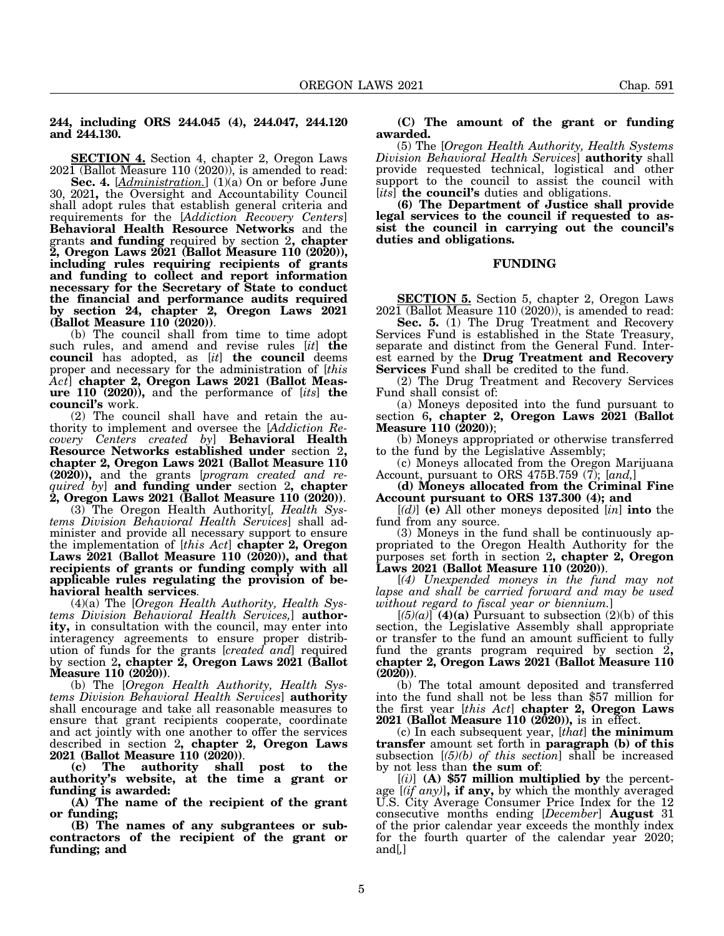# **244, including ORS 244.045 (4), 244.047, 244.120 and 244.130.**

**SECTION 4.** Section 4, chapter 2, Oregon Laws 2021 (Ballot Measure 110 (2020)), is amended to read:

**Sec. 4.** [*Administration.*] (1)(a) On or before June 30, 2021**,** the Oversight and Accountability Council shall adopt rules that establish general criteria and requirements for the [*Addiction Recovery Centers*] **Behavioral Health Resource Networks** and the grants **and funding** required by section 2**, chapter 2, Oregon Laws 2021 (Ballot Measure 110 (2020)), including rules requiring recipients of grants and funding to collect and report information necessary for the Secretary of State to conduct the financial and performance audits required by section 24, chapter 2, Oregon Laws 2021**

(b) The council shall from time to time adopt such rules, and amend and revise rules [*it*] **the council** has adopted, as [*it*] **the council** deems proper and necessary for the administration of [*this Act*] **chapter 2, Oregon Laws 2021 (Ballot Measure 110 (2020)),** and the performance of [*its*] **the council's** work.

(2) The council shall have and retain the authority to implement and oversee the [*Addiction Recovery Centers created by*] **Behavioral Health Resource Networks established under** section 2**, chapter 2, Oregon Laws 2021 (Ballot Measure 110 (2020)),** and the grants [*program created and required by*] **and funding under** section 2**, chapter**

**2, Oregon Laws 2021 (Ballot Measure 110 (2020))**. (3) The Oregon Health Authority[*, Health Systems Division Behavioral Health Services*] shall administer and provide all necessary support to ensure the implementation of [*this Act*] **chapter 2, Oregon Laws 2021 (Ballot Measure 110 (2020)), and that recipients of grants or funding comply with all applicable rules regulating the provision of be-**

**havioral health services**. (4)(a) The [*Oregon Health Authority, Health Systems Division Behavioral Health Services,*] **authority,** in consultation with the council, may enter into interagency agreements to ensure proper distribution of funds for the grants [*created and*] required by section 2**, chapter 2, Oregon Laws 2021 (Ballot**

(b) The [*Oregon Health Authority*, *Health Systems Division Behavioral Health Services*] **authority** shall encourage and take all reasonable measures to ensure that grant recipients cooperate, coordinate and act jointly with one another to offer the services described in section 2**, chapter 2, Oregon Laws 2021 (Ballot Measure 110 (2020))**. **(c) The authority shall post to the**

**authority's website, at the time a grant or funding is awarded:**

**(A) The name of the recipient of the grant or funding;**

**(B) The names of any subgrantees or subcontractors of the recipient of the grant or funding; and**

## **(C) The amount of the grant or funding awarded.**

(5) The [*Oregon Health Authority, Health Systems Division Behavioral Health Services*] **authority** shall provide requested technical, logistical and other support to the council to assist the council with [*its*] **the council's** duties and obligations.

**(6) The Department of Justice shall provide legal services to the council if requested to assist the council in carrying out the council's duties and obligations.**

# **FUNDING**

**SECTION 5.** Section 5, chapter 2, Oregon Laws  $202\overline{1}$  (Ballot Measure 110 (2020)), is amended to read:

**Sec. 5.** (1) The Drug Treatment and Recovery Services Fund is established in the State Treasury, separate and distinct from the General Fund. Interest earned by the **Drug Treatment and Recovery Services** Fund shall be credited to the fund.

(2) The Drug Treatment and Recovery Services Fund shall consist of:

(a) Moneys deposited into the fund pursuant to section 6**, chapter 2, Oregon Laws 2021 (Ballot Measure 110 (2020))**;

(b) Moneys appropriated or otherwise transferred to the fund by the Legislative Assembly;

(c) Moneys allocated from the Oregon Marijuana Account, pursuant to ORS 475B.759 (7); [*and,*]

**(d) Moneys allocated from the Criminal Fine Account pursuant to ORS 137.300 (4); and**

[*(d)*] **(e)** All other moneys deposited [*in*] **into** the fund from any source.

(3) Moneys in the fund shall be continuously appropriated to the Oregon Health Authority for the purposes set forth in section 2**, chapter 2, Oregon**

**Laws 2021 (Ballot Measure 110 (2020))**. [*(4) Unexpended moneys in the fund may not lapse and shall be carried forward and may be used without regard to fiscal year or biennium.*]

 $[(5)(a)]$ <sup> $(4)(a)$ </sup> Pursuant to subsection  $(2)(b)$  of this section, the Legislative Assembly shall appropriate or transfer to the fund an amount sufficient to fully fund the grants program required by section 2**, chapter 2, Oregon Laws 2021 (Ballot Measure 110**

(b) The total amount deposited and transferred into the fund shall not be less than \$57 million for the first year [*this Act*] **chapter 2, Oregon Laws 2021 (Ballot Measure 110 (2020)),** is in effect.

(c) In each subsequent year, [*that*] **the minimum transfer** amount set forth in **paragraph (b) of this** subsection [*(5)(b) of this section*] shall be increased by not less than **the sum of**:

[*(i)*] **(A) \$57 million multiplied by** the percentage [*(if any)*]**, if any,** by which the monthly averaged U.S. City Average Consumer Price Index for the 12 consecutive months ending [*December*] **August** 31 of the prior calendar year exceeds the monthly index for the fourth quarter of the calendar year 2020; and[*,*]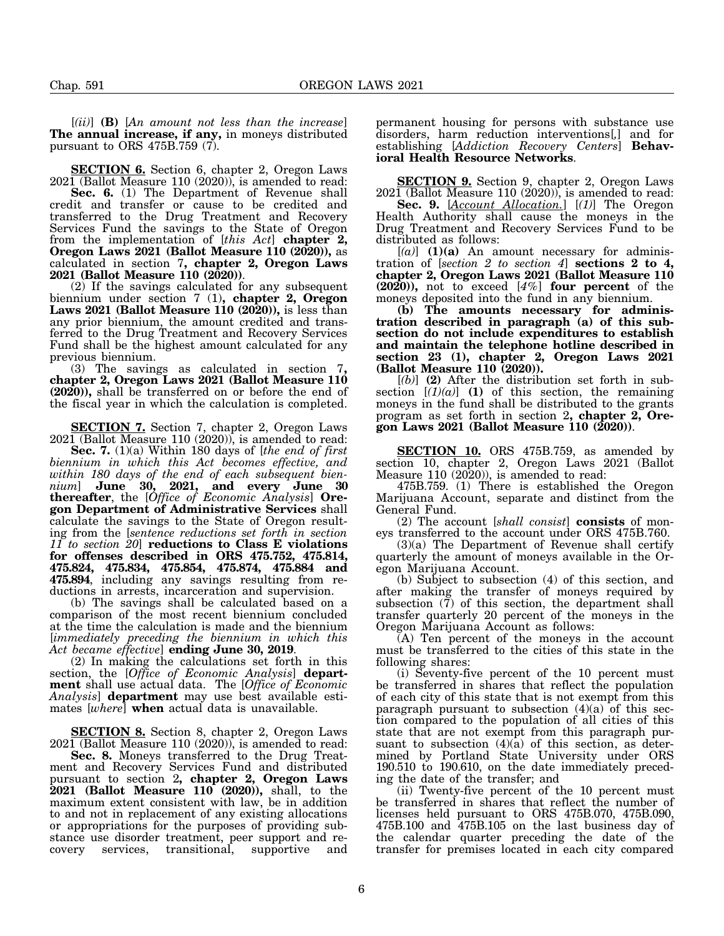[*(ii)*] **(B)** [*An amount not less than the increase*] **The annual increase, if any,** in moneys distributed pursuant to ORS 475B.759 (7).

**SECTION 6.** Section 6, chapter 2, Oregon Laws  $202\overline{1}$  (Ballot Measure 110 (2020)), is amended to read:

**Sec. 6.** (1) The Department of Revenue shall credit and transfer or cause to be credited and transferred to the Drug Treatment and Recovery Services Fund the savings to the State of Oregon from the implementation of [*this Act*] **chapter 2, Oregon Laws 2021 (Ballot Measure 110 (2020)),** as calculated in section 7**, chapter 2, Oregon Laws**

(2) If the savings calculated for any subsequent biennium under section 7 (1)**, chapter 2, Oregon Laws 2021 (Ballot Measure 110 (2020)),** is less than any prior biennium, the amount credited and transferred to the Drug Treatment and Recovery Services Fund shall be the highest amount calculated for any previous biennium.<br>
(3) The savings as calculated in section 7,

chapter 2, Oregon Laws 2021 (Ballot Measure 110 **(2020)),** shall be transferred on or before the end of the fiscal year in which the calculation is completed.

**SECTION 7.** Section 7, chapter 2, Oregon Laws 2021 (Ballot Measure 110 (2020)), is amended to read:

**Sec. 7.** (1)(a) Within 180 days of [*the end of first biennium in which this Act becomes effective, and within 180 days of the end of each subsequent biennium*] **June 30, 2021, and every June 30 thereafter**, the [*Office of Economic Analysis*] **Oregon Department of Administrative Services** shall calculate the savings to the State of Oregon resulting from the [*sentence reductions set forth in section 11 to section 20*] **reductions to Class E violations for offenses described in ORS 475.752, 475.814, 475.824, 475.834, 475.854, 475.874, 475.884 and 475.894**, including any savings resulting from reductions in arrests, incarceration and supervision.

(b) The savings shall be calculated based on a comparison of the most recent biennium concluded at the time the calculation is made and the biennium [*immediately preceding the biennium in which this*

*Act became effective*] **ending June 30, 2019**. (2) In making the calculations set forth in this section, the [*Office of Economic Analysis*] **department** shall use actual data. The [*Office of Economic Analysis*] **department** may use best available estimates [*where*] **when** actual data is unavailable.

**SECTION 8.** Section 8, chapter 2, Oregon Laws  $202\overline{1}$  (Ballot Measure 110 (2020)), is amended to read:

**Sec. 8.** Moneys transferred to the Drug Treatment and Recovery Services Fund and distributed pursuant to section 2**, chapter 2, Oregon Laws 2021 (Ballot Measure 110 (2020)),** shall, to the maximum extent consistent with law, be in addition to and not in replacement of any existing allocations or appropriations for the purposes of providing substance use disorder treatment, peer support and recovery services, transitional, supportive and

permanent housing for persons with substance use disorders, harm reduction interventions[*,*] and for establishing [*Addiction Recovery Centers*] **Behavioral Health Resource Networks**.

**SECTION 9.** Section 9, chapter 2, Oregon Laws  $2021$  (Ballot Measure 110 (2020)), is amended to read:

**Sec. 9.** [*Account Allocation.*] [*(1)*] The Oregon Health Authority shall cause the moneys in the Drug Treatment and Recovery Services Fund to be distributed as follows:

 $[(a)]$  **(1)(a)** An amount necessary for administration of [*section 2 to section 4*] **sections 2 to 4, chapter 2, Oregon Laws 2021 (Ballot Measure 110 (2020)),** not to exceed [*4%*] **four percent** of the moneys deposited into the fund in any biennium.

**(b) The amounts necessary for administration described in paragraph (a) of this subsection do not include expenditures to establish and maintain the telephone hotline described in section 23 (1), chapter 2, Oregon Laws 2021 (Ballot Measure 110 (2020)).**

[*(b)*] **(2)** After the distribution set forth in subsection  $[(1)(a)]$  (1) of this section, the remaining moneys in the fund shall be distributed to the grants program as set forth in section 2**, chapter 2, Oregon Laws 2021 (Ballot Measure 110 (2020))**.

**SECTION 10.** ORS 475B.759, as amended by section 10, chapter 2, Oregon Laws 2021 (Ballot Measure 110 (2020)), is amended to read:

475B.759. (1) There is established the Oregon Marijuana Account, separate and distinct from the General Fund.

(2) The account [*shall consist*] **consists** of moneys transferred to the account under ORS 475B.760.

 $(3)(a)$  The Department of Revenue shall certify quarterly the amount of moneys available in the Oregon Marijuana Account.

(b) Subject to subsection (4) of this section, and after making the transfer of moneys required by subsection (7) of this section, the department shall transfer quarterly 20 percent of the moneys in the Oregon Marijuana Account as follows:

(A) Ten percent of the moneys in the account must be transferred to the cities of this state in the following shares:

(i) Seventy-five percent of the 10 percent must be transferred in shares that reflect the population of each city of this state that is not exempt from this paragraph pursuant to subsection  $(4)(a)$  of this section compared to the population of all cities of this state that are not exempt from this paragraph pursuant to subsection  $(4)(a)$  of this section, as determined by Portland State University under ORS 190.510 to 190.610, on the date immediately preceding the date of the transfer; and

(ii) Twenty-five percent of the 10 percent must be transferred in shares that reflect the number of licenses held pursuant to ORS 475B.070, 475B.090, 475B.100 and 475B.105 on the last business day of the calendar quarter preceding the date of the transfer for premises located in each city compared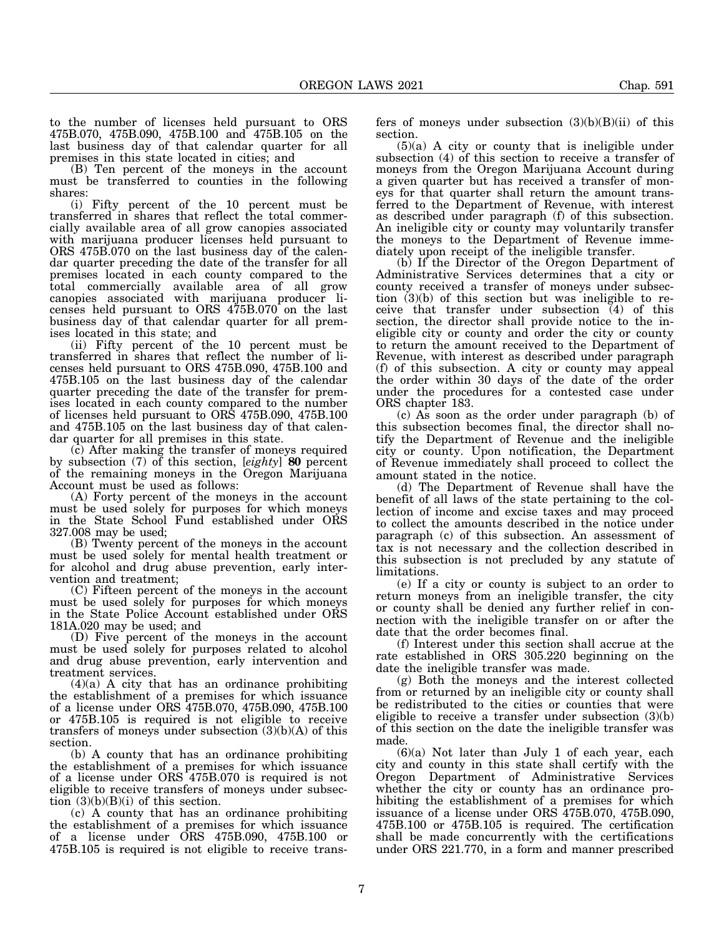to the number of licenses held pursuant to ORS 475B.070, 475B.090, 475B.100 and 475B.105 on the last business day of that calendar quarter for all premises in this state located in cities; and

(B) Ten percent of the moneys in the account must be transferred to counties in the following shares:

(i) Fifty percent of the 10 percent must be transferred in shares that reflect the total commercially available area of all grow canopies associated with marijuana producer licenses held pursuant to ORS 475B.070 on the last business day of the calendar quarter preceding the date of the transfer for all premises located in each county compared to the total commercially available area of all grow canopies associated with marijuana producer licenses held pursuant to ORS 475B.070 on the last business day of that calendar quarter for all premises located in this state; and

(ii) Fifty percent of the 10 percent must be transferred in shares that reflect the number of licenses held pursuant to ORS 475B.090, 475B.100 and 475B.105 on the last business day of the calendar quarter preceding the date of the transfer for premises located in each county compared to the number of licenses held pursuant to ORS 475B.090, 475B.100 and 475B.105 on the last business day of that calendar quarter for all premises in this state.

(c) After making the transfer of moneys required by subsection (7) of this section, [*eighty*] **80** percent of the remaining moneys in the Oregon Marijuana Account must be used as follows:

(A) Forty percent of the moneys in the account must be used solely for purposes for which moneys in the State School Fund established under ORS 327.008 may be used;

(B) Twenty percent of the moneys in the account must be used solely for mental health treatment or for alcohol and drug abuse prevention, early intervention and treatment;

(C) Fifteen percent of the moneys in the account must be used solely for purposes for which moneys in the State Police Account established under ORS 181A.020 may be used; and

(D) Five percent of the moneys in the account must be used solely for purposes related to alcohol and drug abuse prevention, early intervention and treatment services.

(4)(a) A city that has an ordinance prohibiting the establishment of a premises for which issuance of a license under ORS 475B.070, 475B.090, 475B.100 or 475B.105 is required is not eligible to receive transfers of moneys under subsection  $(3)(b)(A)$  of this section.

(b) A county that has an ordinance prohibiting the establishment of a premises for which issuance of a license under ORS 475B.070 is required is not eligible to receive transfers of moneys under subsection  $(3)(b)(B)(i)$  of this section.

(c) A county that has an ordinance prohibiting the establishment of a premises for which issuance of a license under ORS 475B.090, 475B.100 or 475B.105 is required is not eligible to receive transfers of moneys under subsection  $(3)(b)(B)(ii)$  of this section.

 $(5)(a)$  A city or county that is ineligible under subsection (4) of this section to receive a transfer of moneys from the Oregon Marijuana Account during a given quarter but has received a transfer of moneys for that quarter shall return the amount transferred to the Department of Revenue, with interest as described under paragraph (f) of this subsection. An ineligible city or county may voluntarily transfer the moneys to the Department of Revenue immediately upon receipt of the ineligible transfer.

(b) If the Director of the Oregon Department of Administrative Services determines that a city or county received a transfer of moneys under subsection (3)(b) of this section but was ineligible to receive that transfer under subsection  $\overline{(4)}$  of this section, the director shall provide notice to the ineligible city or county and order the city or county to return the amount received to the Department of Revenue, with interest as described under paragraph (f) of this subsection. A city or county may appeal the order within 30 days of the date of the order under the procedures for a contested case under ORS chapter 183.

(c) As soon as the order under paragraph (b) of this subsection becomes final, the director shall notify the Department of Revenue and the ineligible city or county. Upon notification, the Department of Revenue immediately shall proceed to collect the amount stated in the notice.

(d) The Department of Revenue shall have the benefit of all laws of the state pertaining to the collection of income and excise taxes and may proceed to collect the amounts described in the notice under paragraph (c) of this subsection. An assessment of tax is not necessary and the collection described in this subsection is not precluded by any statute of limitations.

(e) If a city or county is subject to an order to return moneys from an ineligible transfer, the city or county shall be denied any further relief in connection with the ineligible transfer on or after the date that the order becomes final.

(f) Interest under this section shall accrue at the rate established in ORS 305.220 beginning on the date the ineligible transfer was made.

(g) Both the moneys and the interest collected from or returned by an ineligible city or county shall be redistributed to the cities or counties that were eligible to receive a transfer under subsection (3)(b) of this section on the date the ineligible transfer was made.

(6)(a) Not later than July 1 of each year, each city and county in this state shall certify with the Oregon Department of Administrative Services whether the city or county has an ordinance prohibiting the establishment of a premises for which issuance of a license under ORS 475B.070, 475B.090, 475B.100 or 475B.105 is required. The certification shall be made concurrently with the certifications under ORS 221.770, in a form and manner prescribed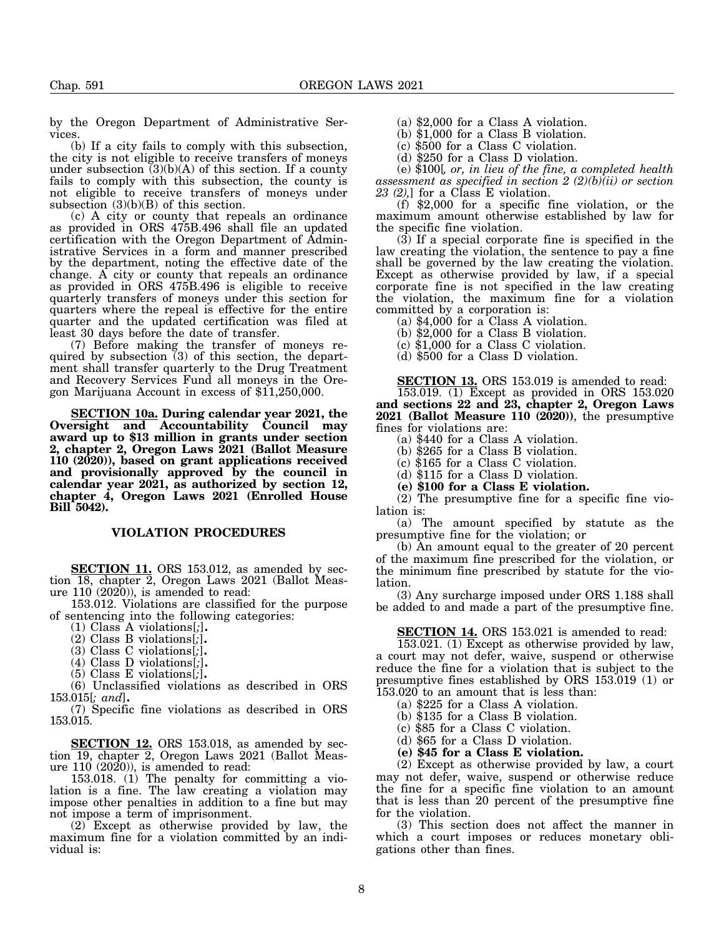by the Oregon Department of Administrative Services.

(b) If a city fails to comply with this subsection, the city is not eligible to receive transfers of moneys under subsection  $(3)(b)(A)$  of this section. If a county fails to comply with this subsection, the county is not eligible to receive transfers of moneys under subsection (3)(b)(B) of this section.

(c) A city or county that repeals an ordinance as provided in ORS 475B.496 shall file an updated certification with the Oregon Department of Administrative Services in a form and manner prescribed by the department, noting the effective date of the change. A city or county that repeals an ordinance as provided in ORS 475B.496 is eligible to receive quarterly transfers of moneys under this section for quarters where the repeal is effective for the entire quarter and the updated certification was filed at least 30 days before the date of transfer.

(7) Before making the transfer of moneys required by subsection (3) of this section, the department shall transfer quarterly to the Drug Treatment<br>and Recovery Services Fund all moneys in the Oregon Marijuana Account in excess of \$11,250,000.

**SECTION 10a. During calendar year 2021, the Oversight and Accountability Council may award up to \$13 million in grants under section 2, chapter 2, Oregon Laws 2021 (Ballot Measure 110 (2020)), based on grant applications received and provisionally approved by the council in calendar year 2021, as authorized by section 12, chapter 4, Oregon Laws 2021 (Enrolled House Bill 5042).**

### **VIOLATION PROCEDURES**

**SECTION 11.** ORS 153.012, as amended by section 18, chapter 2, Oregon Laws 2021 (Ballot Measure 110 (2020)), is amended to read:

153.012. Violations are classified for the purpose of sentencing into the following categories:<br>(1) Class A violations[;].

- 
- 
- 
- 
- 

(2) Class B violations[;].<br>
(3) Class C violations[;].<br>
(4) Class D violations[;].<br>
(5) Class E violations[;].<br>
(6) Unclassified violations as described in ORS

153.015[*; and*]**.** (7) Specific fine violations as described in ORS 153.015.

**SECTION 12.** ORS 153.018, as amended by section 19, chapter 2, Oregon Laws 2021 (Ballot Measure 110 (2020)), is amended to read:

153.018. (1) The penalty for committing a violation is a fine. The law creating a violation may impose other penalties in addition to a fine but may not impose a term of imprisonment.

(2) Except as otherwise provided by law, the maximum fine for a violation committed by an individual is:

(a) \$2,000 for a Class A violation.

(b) \$1,000 for a Class B violation.

(c) \$500 for a Class C violation.

(d) \$250 for a Class D violation.

(e) \$100[*, or, in lieu of the fine, a completed health assessment as specified in section 2 (2)(b)(ii) or section 23 (2),*] for a Class E violation.

(f) \$2,000 for a specific fine violation, or the maximum amount otherwise established by law for the specific fine violation.

 $(3)$  If a special corporate fine is specified in the law creating the violation, the sentence to pay a fine shall be governed by the law creating the violation. Except as otherwise provided by law, if a special corporate fine is not specified in the law creating the violation, the maximum fine for a violation

(a)  $$4,000$  for a Class A violation.

(b) \$2,000 for a Class B violation.

(c) \$1,000 for a Class C violation.

(d) \$500 for a Class D violation.

**SECTION 13.** ORS 153.019 is amended to read:

153.019. (1) Except as provided in ORS 153.020 **and sections 22 and 23, chapter 2, Oregon Laws 2021 (Ballot Measure 110 (2020))**, the presumptive fines for violations are:

(a) \$440 for a Class A violation.

(b) \$265 for a Class B violation.

(c) \$165 for a Class C violation.

(d) \$115 for a Class D violation.

**(e) \$100 for a Class E violation.**

(2) The presumptive fine for a specific fine violation is:

(a) The amount specified by statute as the presumptive fine for the violation; or

(b) An amount equal to the greater of 20 percent of the maximum fine prescribed for the violation, or the minimum fine prescribed by statute for the violation.

(3) Any surcharge imposed under ORS 1.188 shall be added to and made a part of the presumptive fine.

**SECTION 14.** ORS 153.021 is amended to read:

153.021. (1) Except as otherwise provided by law, a court may not defer, waive, suspend or otherwise reduce the fine for a violation that is subject to the presumptive fines established by ORS 153.019 (1) or 153.020 to an amount that is less than:

(a) \$225 for a Class A violation.

(b) \$135 for a Class B violation.

(c) \$85 for a Class C violation.

(d) \$65 for a Class D violation.

**(e) \$45 for a Class E violation.**

(2) Except as otherwise provided by law, a court may not defer, waive, suspend or otherwise reduce the fine for a specific fine violation to an amount that is less than 20 percent of the presumptive fine for the violation.

(3) This section does not affect the manner in which a court imposes or reduces monetary obligations other than fines.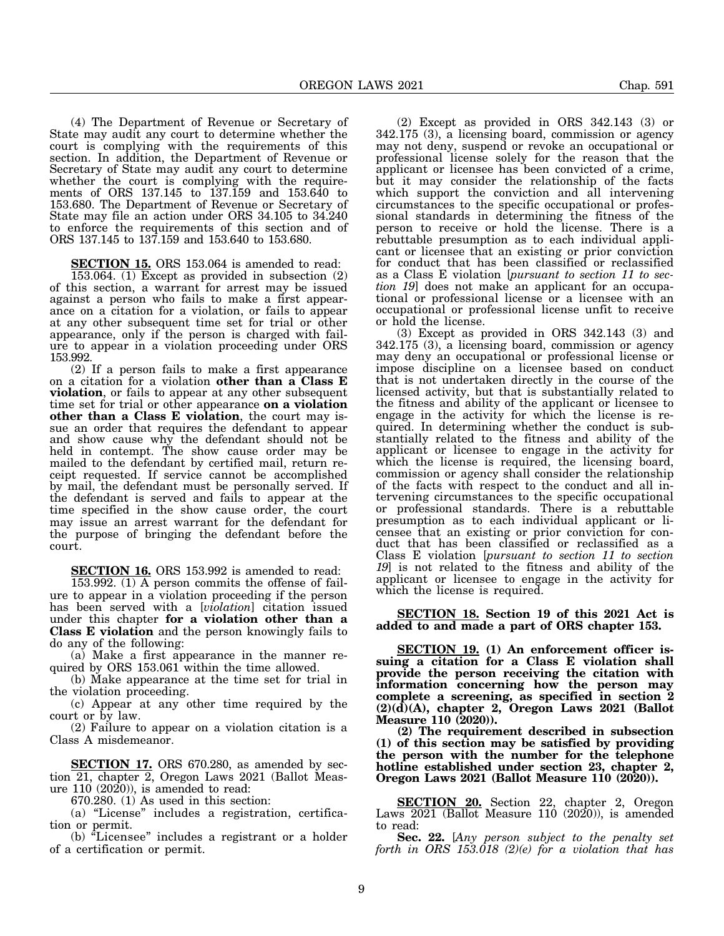(4) The Department of Revenue or Secretary of State may audit any court to determine whether the court is complying with the requirements of this section. In addition, the Department of Revenue or Secretary of State may audit any court to determine whether the court is complying with the requirements of ORS 137.145 to 137.159 and 153.640 to 153.680. The Department of Revenue or Secretary of State may file an action under ORS 34.105 to 34.240 to enforce the requirements of this section and of ORS 137.145 to 137.159 and 153.640 to 153.680.

**SECTION 15.** ORS 153.064 is amended to read:

153.064. (1) Except as provided in subsection (2) of this section, a warrant for arrest may be issued against a person who fails to make a first appearance on a citation for a violation, or fails to appear at any other subsequent time set for trial or other appearance, only if the person is charged with failure to appear in a violation proceeding under ORS 153.992.

(2) If a person fails to make a first appearance on a citation for a violation **other than a Class E violation**, or fails to appear at any other subsequent time set for trial or other appearance **on a violation other than a Class E violation**, the court may issue an order that requires the defendant to appear and show cause why the defendant should not be held in contempt. The show cause order may be mailed to the defendant by certified mail, return receipt requested. If service cannot be accomplished by mail, the defendant must be personally served. If the defendant is served and fails to appear at the time specified in the show cause order, the court may issue an arrest warrant for the defendant for the purpose of bringing the defendant before the court.

**SECTION 16.** ORS 153.992 is amended to read:

153.992. (1) A person commits the offense of failure to appear in a violation proceeding if the person has been served with a [*violation*] citation issued under this chapter **for a violation other than a Class E violation** and the person knowingly fails to do any of the following:

(a) Make a first appearance in the manner required by ORS 153.061 within the time allowed.

(b) Make appearance at the time set for trial in the violation proceeding.

(c) Appear at any other time required by the court or by law.

(2) Failure to appear on a violation citation is a Class A misdemeanor.

**SECTION 17.** ORS 670.280, as amended by section 21, chapter 2, Oregon Laws 2021 (Ballot Measure 110 (2020)), is amended to read:

670.280. (1) As used in this section:

(a) "License" includes a registration, certification or permit.

(b) "Licensee" includes a registrant or a holder of a certification or permit.

(2) Except as provided in ORS 342.143 (3) or 342.175 (3), a licensing board, commission or agency may not deny, suspend or revoke an occupational or professional license solely for the reason that the applicant or licensee has been convicted of a crime, but it may consider the relationship of the facts which support the conviction and all intervening circumstances to the specific occupational or professional standards in determining the fitness of the person to receive or hold the license. There is a rebuttable presumption as to each individual applicant or licensee that an existing or prior conviction for conduct that has been classified or reclassified as a Class E violation [*pursuant to section 11 to section 19*] does not make an applicant for an occupational or professional license or a licensee with an occupational or professional license unfit to receive or hold the license.

(3) Except as provided in ORS 342.143 (3) and 342.175 (3), a licensing board, commission or agency may deny an occupational or professional license or impose discipline on a licensee based on conduct that is not undertaken directly in the course of the licensed activity, but that is substantially related to the fitness and ability of the applicant or licensee to engage in the activity for which the license is required. In determining whether the conduct is substantially related to the fitness and ability of the applicant or licensee to engage in the activity for which the license is required, the licensing board, commission or agency shall consider the relationship of the facts with respect to the conduct and all intervening circumstances to the specific occupational or professional standards. There is a rebuttable presumption as to each individual applicant or licensee that an existing or prior conviction for conduct that has been classified or reclassified as a Class E violation [*pursuant to section 11 to section 19*] is not related to the fitness and ability of the applicant or licensee to engage in the activity for which the license is required.

**SECTION 18. Section 19 of this 2021 Act is added to and made a part of ORS chapter 153.**

**SECTION 19. (1) An enforcement officer issuing a citation for a Class E violation shall provide the person receiving the citation with information concerning how the person may complete a screening, as specified in section 2 (2)(d)(A), chapter 2, Oregon Laws 2021 (Ballot Measure 110 (2020)).**

**(2) The requirement described in subsection (1) of this section may be satisfied by providing the person with the number for the telephone hotline established under section 23, chapter 2, Oregon Laws 2021 (Ballot Measure 110 (2020)).**

**SECTION 20.** Section 22, chapter 2, Oregon Laws 2021 (Ballot Measure 110 (2020)), is amended to read:

**Sec. 22.** [*Any person subject to the penalty set forth in ORS 153.018 (2)(e) for a violation that has*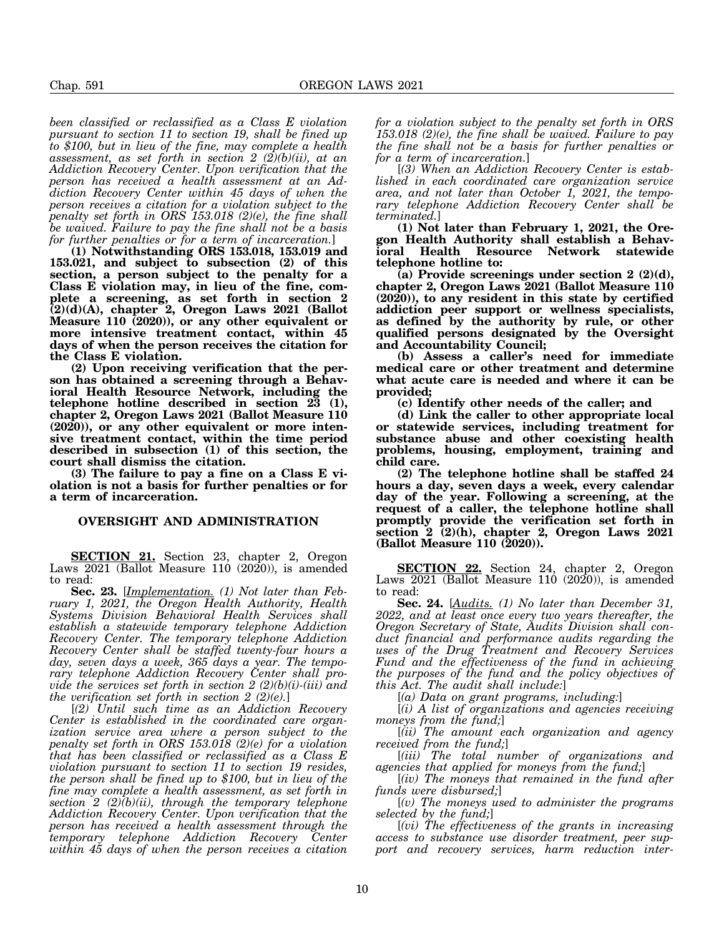*been classified or reclassified as a Class E violation pursuant to section 11 to section 19, shall be fined up to \$100, but in lieu of the fine, may complete a health assessment, as set forth in section 2 (2)(b)(ii), at an Addiction Recovery Center. Upon verification that the person has received a health assessment at an Addiction Recovery Center within 45 days of when the person receives a citation for a violation subject to the penalty set forth in ORS 153.018 (2)(e), the fine shall be waived. Failure to pay the fine shall not be a basis for further penalties or for a term of incarceration.*]

**(1) Notwithstanding ORS 153.018, 153.019 and 153.021, and subject to subsection (2) of this section, a person subject to the penalty for a Class E violation may, in lieu of the fine, complete a screening, as set forth in section 2 (2)(d)(A), chapter 2, Oregon Laws 2021 (Ballot Measure 110 (2020)), or any other equivalent or more intensive treatment contact, within 45 days of when the person receives the citation for the Class E violation.**

**(2) Upon receiving verification that the person has obtained a screening through a Behavioral Health Resource Network, including the telephone hotline described in section 23 (1), chapter 2, Oregon Laws 2021 (Ballot Measure 110 (2020)), or any other equivalent or more intensive treatment contact, within the time period described in subsection (1) of this section, the court shall dismiss the citation.**

**(3) The failure to pay a fine on a Class E violation is not a basis for further penalties or for a term of incarceration.**

#### **OVERSIGHT AND ADMINISTRATION**

**SECTION 21.** Section 23, chapter 2, Oregon Laws 2021 (Ballot Measure 110 (2020)), is amended to read:

**Sec. 23.** [*Implementation. (1) Not later than February 1, 2021, the Oregon Health Authority, Health Systems Division Behavioral Health Services shall establish a statewide temporary telephone Addiction Recovery Center. The temporary telephone Addiction Recovery Center shall be staffed twenty-four hours a day, seven days a week, 365 days a year. The temporary telephone Addiction Recovery Center shall provide the services set forth in section 2 (2)(b)(i)-(iii) and the verification set forth in section 2 (2)(e).*]

[*(2) Until such time as an Addiction Recovery Center is established in the coordinated care organization service area where a person subject to the penalty set forth in ORS 153.018 (2)(e) for a violation that has been classified or reclassified as a Class E violation pursuant to section 11 to section 19 resides, the person shall be fined up to \$100, but in lieu of the fine may complete a health assessment, as set forth in section 2 (2)(b)(ii), through the temporary telephone Addiction Recovery Center. Upon verification that the person has received a health assessment through the temporary telephone Addiction Recovery Center within 45 days of when the person receives a citation*

*for a violation subject to the penalty set forth in ORS 153.018 (2)(e), the fine shall be waived. Failure to pay the fine shall not be a basis for further penalties or for a term of incarceration.*]

[*(3) When an Addiction Recovery Center is established in each coordinated care organization service area, and not later than October 1, 2021, the temporary telephone Addiction Recovery Center shall be terminated.*]

**(1) Not later than February 1, 2021, the Oregon Health Authority shall establish a Behavioral Health Resource Network statewide telephone hotline to:**

**(a) Provide screenings under section 2 (2)(d), chapter 2, Oregon Laws 2021 (Ballot Measure 110 (2020)), to any resident in this state by certified addiction peer support or wellness specialists, as defined by the authority by rule, or other qualified persons designated by the Oversight and Accountability Council;**

**(b) Assess a caller's need for immediate medical care or other treatment and determine what acute care is needed and where it can be provided;**

**(c) Identify other needs of the caller; and**

**(d) Link the caller to other appropriate local or statewide services, including treatment for substance abuse and other coexisting health problems, housing, employment, training and child care.**

**(2) The telephone hotline shall be staffed 24 hours a day, seven days a week, every calendar day of the year. Following a screening, at the request of a caller, the telephone hotline shall promptly provide the verification set forth in section 2 (2)(h), chapter 2, Oregon Laws 2021 (Ballot Measure 110 (2020)).**

**SECTION 22.** Section 24, chapter 2, Oregon Laws 2021 (Ballot Measure 110 (2020)), is amended to read:

**Sec. 24.** [*Audits. (1) No later than December 31, 2022, and at least once every two years thereafter, the Oregon Secretary of State, Audits Division shall conduct financial and performance audits regarding the uses of the Drug Treatment and Recovery Services Fund and the effectiveness of the fund in achieving the purposes of the fund and the policy objectives of this Act. The audit shall include:*]

[*(a) Data on grant programs, including:*]

[*(i) A list of organizations and agencies receiving moneys from the fund;*]

[*(ii) The amount each organization and agency received from the fund;*]

[*(iii) The total number of organizations and agencies that applied for moneys from the fund;*]

[*(iv) The moneys that remained in the fund after funds were disbursed;*]

[*(v) The moneys used to administer the programs selected by the fund;*]

[*(vi) The effectiveness of the grants in increasing access to substance use disorder treatment, peer support and recovery services, harm reduction inter-*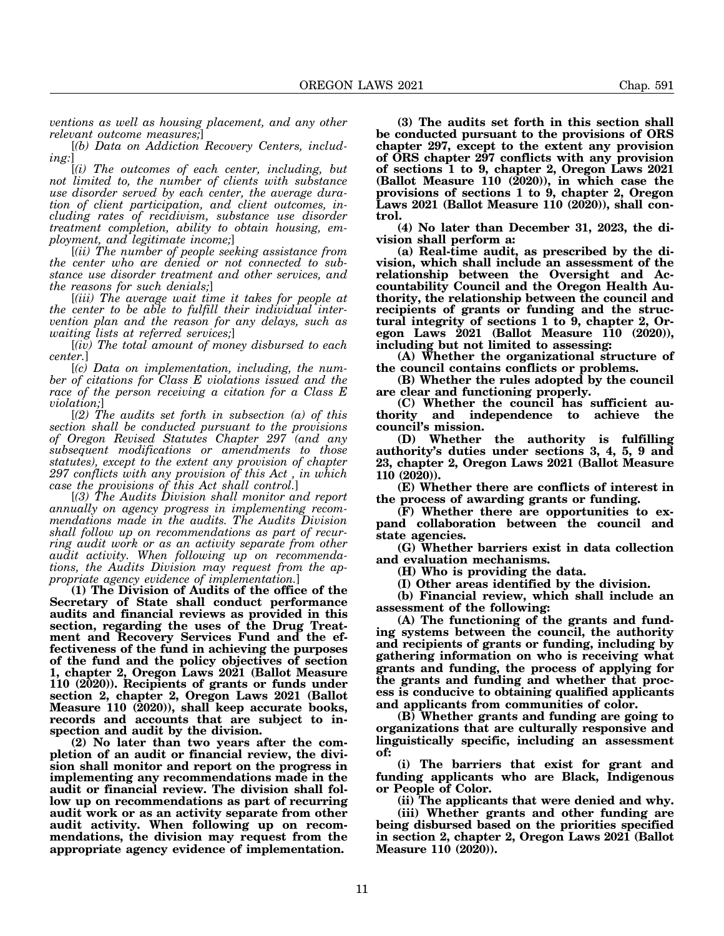*ventions as well as housing placement, and any other relevant outcome measures;*]

[*(b) Data on Addiction Recovery Centers, including:*]

[*(i) The outcomes of each center, including, but not limited to, the number of clients with substance use disorder served by each center, the average duration of client participation, and client outcomes, including rates of recidivism, substance use disorder treatment completion, ability to obtain housing, employment, and legitimate income;*]

[*(ii) The number of people seeking assistance from the center who are denied or not connected to substance use disorder treatment and other services, and the reasons for such denials;*]

[*(iii) The average wait time it takes for people at the center to be able to fulfill their individual intervention plan and the reason for any delays, such as waiting lists at referred services;*]

[*(iv) The total amount of money disbursed to each center.*]

[*(c) Data on implementation, including, the number of citations for Class E violations issued and the race of the person receiving a citation for a Class E violation;*]

[*(2) The audits set forth in subsection (a) of this section shall be conducted pursuant to the provisions of Oregon Revised Statutes Chapter 297 (and any subsequent modifications or amendments to those statutes), except to the extent any provision of chapter 297 conflicts with any provision of this Act , in which case the provisions of this Act shall control.*]

[*(3) The Audits Division shall monitor and report annually on agency progress in implementing recommendations made in the audits. The Audits Division shall follow up on recommendations as part of recurring audit work or as an activity separate from other audit activity. When following up on recommendations, the Audits Division may request from the appropriate agency evidence of implementation.*]

**(1) The Division of Audits of the office of the Secretary of State shall conduct performance audits and financial reviews as provided in this section, regarding the uses of the Drug Treatment and Recovery Services Fund and the effectiveness of the fund in achieving the purposes of the fund and the policy objectives of section 1, chapter 2, Oregon Laws 2021 (Ballot Measure 110 (2020)). Recipients of grants or funds under section 2, chapter 2, Oregon Laws 2021 (Ballot Measure 110 (2020)), shall keep accurate books, records and accounts that are subject to inspection and audit by the division.**

**(2) No later than two years after the completion of an audit or financial review, the division shall monitor and report on the progress in implementing any recommendations made in the audit or financial review. The division shall follow up on recommendations as part of recurring audit work or as an activity separate from other audit activity. When following up on recommendations, the division may request from the appropriate agency evidence of implementation.**

**(3) The audits set forth in this section shall be conducted pursuant to the provisions of ORS chapter 297, except to the extent any provision of ORS chapter 297 conflicts with any provision of sections 1 to 9, chapter 2, Oregon Laws 2021 (Ballot Measure 110 (2020)), in which case the provisions of sections 1 to 9, chapter 2, Oregon Laws 2021 (Ballot Measure 110 (2020)), shall control.**

**(4) No later than December 31, 2023, the division shall perform a:**

**(a) Real-time audit, as prescribed by the division, which shall include an assessment of the relationship between the Oversight and Accountability Council and the Oregon Health Authority, the relationship between the council and recipients of grants or funding and the structural integrity of sections 1 to 9, chapter 2, Oregon Laws 2021 (Ballot Measure 110 (2020)), including but not limited to assessing:**

**(A) Whether the organizational structure of the council contains conflicts or problems.**

**(B) Whether the rules adopted by the council are clear and functioning properly.**

**(C) Whether the council has sufficient authority and independence to achieve the council's mission.**

**(D) Whether the authority is fulfilling authority's duties under sections 3, 4, 5, 9 and 23, chapter 2, Oregon Laws 2021 (Ballot Measure 110 (2020)).**

**(E) Whether there are conflicts of interest in the process of awarding grants or funding.**

**(F) Whether there are opportunities to expand collaboration between the council and state agencies.**

**(G) Whether barriers exist in data collection and evaluation mechanisms.**

**(H) Who is providing the data.**

**(I) Other areas identified by the division.**

**(b) Financial review, which shall include an assessment of the following:**

**(A) The functioning of the grants and funding systems between the council, the authority and recipients of grants or funding, including by gathering information on who is receiving what grants and funding, the process of applying for the grants and funding and whether that process is conducive to obtaining qualified applicants and applicants from communities of color.**

**(B) Whether grants and funding are going to organizations that are culturally responsive and linguistically specific, including an assessment of:**

**(i) The barriers that exist for grant and funding applicants who are Black, Indigenous or People of Color.**

**(ii) The applicants that were denied and why.**

**(iii) Whether grants and other funding are being disbursed based on the priorities specified in section 2, chapter 2, Oregon Laws 2021 (Ballot Measure 110 (2020)).**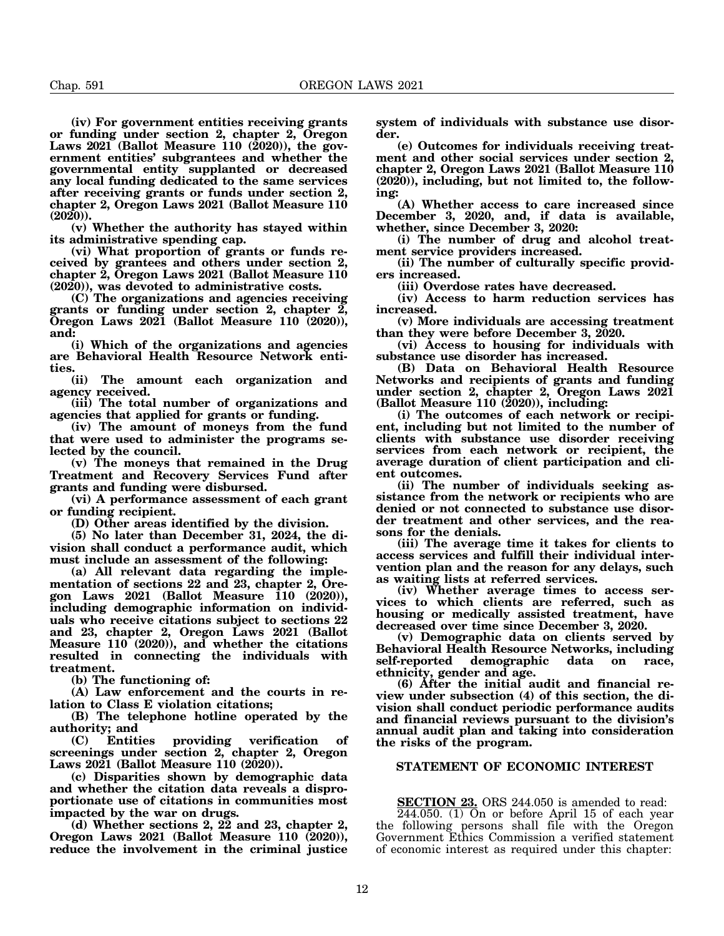**(iv) For government entities receiving grants or funding under section 2, chapter 2, Oregon Laws 2021 (Ballot Measure 110 (2020)), the government entities' subgrantees and whether the governmental entity supplanted or decreased any local funding dedicated to the same services after receiving grants or funds under section 2, chapter 2, Oregon Laws 2021 (Ballot Measure 110 (2020)).**

**(v) Whether the authority has stayed within its administrative spending cap.**

**(vi) What proportion of grants or funds received by grantees and others under section 2, chapter 2, Oregon Laws 2021 (Ballot Measure 110 (2020)), was devoted to administrative costs.**

**(C) The organizations and agencies receiving grants or funding under section 2, chapter 2, Oregon Laws 2021 (Ballot Measure 110 (2020)), and:**

**(i) Which of the organizations and agencies are Behavioral Health Resource Network entities.**

**(ii) The amount each organization and agency received.**

**(iii) The total number of organizations and agencies that applied for grants or funding.**

**(iv) The amount of moneys from the fund that were used to administer the programs selected by the council.**

**(v) The moneys that remained in the Drug Treatment and Recovery Services Fund after grants and funding were disbursed.**

**(vi) A performance assessment of each grant or funding recipient.**

**(D) Other areas identified by the division.**

**(5) No later than December 31, 2024, the division shall conduct a performance audit, which must include an assessment of the following:**

**(a) All relevant data regarding the implementation of sections 22 and 23, chapter 2, Oregon Laws 2021 (Ballot Measure 110 (2020)), including demographic information on individuals who receive citations subject to sections 22 and 23, chapter 2, Oregon Laws 2021 (Ballot Measure 110 (2020)), and whether the citations resulted in connecting the individuals with treatment.**

**(b) The functioning of:**

**(A) Law enforcement and the courts in relation to Class E violation citations;**

**(B) The telephone hotline operated by the authority; and**

**(C) Entities providing verification of screenings under section 2, chapter 2, Oregon** Laws 2021 (Ballot Measure 110 (2020)).

**(c) Disparities shown by demographic data and whether the citation data reveals a disproportionate use of citations in communities most impacted by the war on drugs.**

**(d) Whether sections 2, 22 and 23, chapter 2, Oregon Laws 2021 (Ballot Measure 110 (2020)), reduce the involvement in the criminal justice** **system of individuals with substance use disorder.**

**(e) Outcomes for individuals receiving treatment and other social services under section 2, chapter 2, Oregon Laws 2021 (Ballot Measure 110 (2020)), including, but not limited to, the following:**

**(A) Whether access to care increased since December 3, 2020, and, if data is available, whether, since December 3, 2020:**

**(i) The number of drug and alcohol treatment service providers increased.**

**(ii) The number of culturally specific providers increased.**

**(iii) Overdose rates have decreased.**

**(iv) Access to harm reduction services has increased.**

**(v) More individuals are accessing treatment than they were before December 3, 2020.**

**(vi) Access to housing for individuals with substance use disorder has increased.**

**(B) Data on Behavioral Health Resource Networks and recipients of grants and funding under section 2, chapter 2, Oregon Laws 2021 (Ballot Measure 110 (2020)), including:**

**(i) The outcomes of each network or recipient, including but not limited to the number of clients with substance use disorder receiving services from each network or recipient, the average duration of client participation and client outcomes.**

**(ii) The number of individuals seeking assistance from the network or recipients who are denied or not connected to substance use disorder treatment and other services, and the reasons for the denials.**

**(iii) The average time it takes for clients to access services and fulfill their individual intervention plan and the reason for any delays, such as waiting lists at referred services.**

**(iv) Whether average times to access services to which clients are referred, such as housing or medically assisted treatment, have decreased over time since December 3, 2020.**

**(v) Demographic data on clients served by Behavioral Health Resource Networks, including** demographic data on race, **ethnicity, gender and age.**

**(6) After the initial audit and financial review under subsection (4) of this section, the division shall conduct periodic performance audits and financial reviews pursuant to the division's annual audit plan and taking into consideration the risks of the program.**

## **STATEMENT OF ECONOMIC INTEREST**

**SECTION 23.** ORS 244.050 is amended to read:

 $244.050$ . (1) On or before April 15 of each year the following persons shall file with the Oregon Government Ethics Commission a verified statement of economic interest as required under this chapter: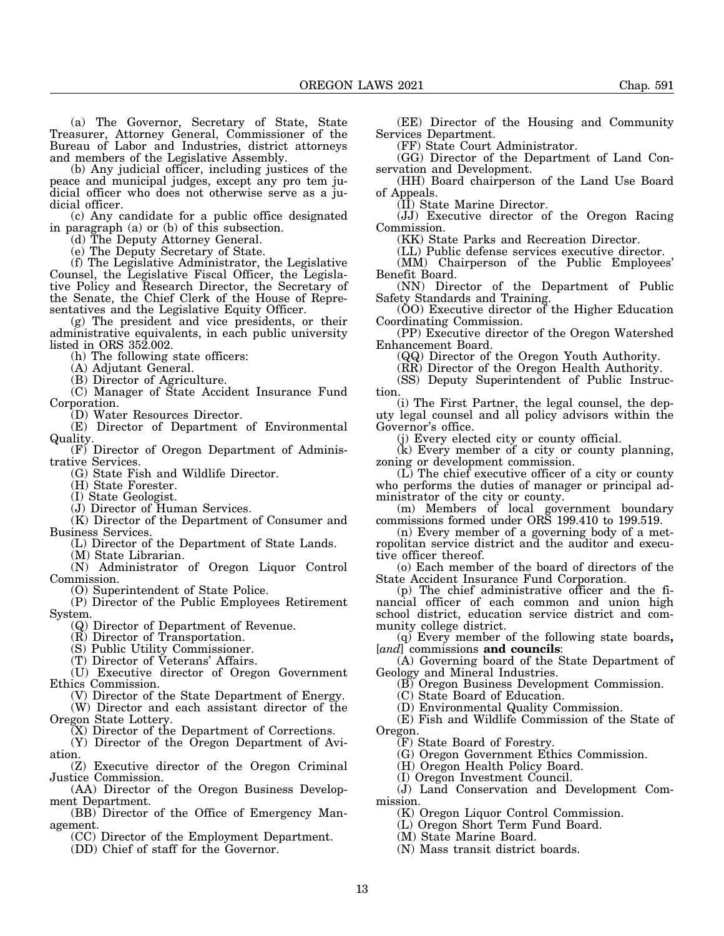(a) The Governor, Secretary of State, State Treasurer, Attorney General, Commissioner of the Bureau of Labor and Industries, district attorneys and members of the Legislative Assembly.

(b) Any judicial officer, including justices of the peace and municipal judges, except any pro tem judicial officer who does not otherwise serve as a judicial officer.

(c) Any candidate for a public office designated in paragraph (a) or (b) of this subsection.

(d) The Deputy Attorney General.

(e) The Deputy Secretary of State.

(f) The Legislative Administrator, the Legislative Counsel, the Legislative Fiscal Officer, the Legislative Policy and Research Director, the Secretary of the Senate, the Chief Clerk of the House of Representatives and the Legislative Equity Officer.

(g) The president and vice presidents, or their administrative equivalents, in each public university listed in ORS 352.002.

(h) The following state officers:

(A) Adjutant General.

(B) Director of Agriculture.

(C) Manager of State Accident Insurance Fund Corporation.

(D) Water Resources Director.

(E) Director of Department of Environmental Quality.

(F) Director of Oregon Department of Administrative Services.

(G) State Fish and Wildlife Director.

(H) State Forester.

(I) State Geologist.

(J) Director of Human Services.

(K) Director of the Department of Consumer and Business Services.

(L) Director of the Department of State Lands.

(M) State Librarian.

(N) Administrator of Oregon Liquor Control Commission.

(O) Superintendent of State Police.

(P) Director of the Public Employees Retirement System.

(Q) Director of Department of Revenue.

(R) Director of Transportation.

(S) Public Utility Commissioner.

(T) Director of Veterans' Affairs.

(U) Executive director of Oregon Government Ethics Commission.

(V) Director of the State Department of Energy.

(W) Director and each assistant director of the Oregon State Lottery.

(X) Director of the Department of Corrections.

(Y) Director of the Oregon Department of Aviation.

(Z) Executive director of the Oregon Criminal Justice Commission.

(AA) Director of the Oregon Business Development Department.

(BB) Director of the Office of Emergency Management.

(CC) Director of the Employment Department.

(DD) Chief of staff for the Governor.

(EE) Director of the Housing and Community Services Department.

(FF) State Court Administrator.

(GG) Director of the Department of Land Conservation and Development.

(HH) Board chairperson of the Land Use Board of Appeals.

(II) State Marine Director.

(JJ) Executive director of the Oregon Racing Commission.

(KK) State Parks and Recreation Director.

(LL) Public defense services executive director. (MM) Chairperson of the Public Employees' Benefit Board.

(NN) Director of the Department of Public Safety Standards and Training.

(OO) Executive director of the Higher Education Coordinating Commission.

(PP) Executive director of the Oregon Watershed Enhancement Board.

(QQ) Director of the Oregon Youth Authority.

(RR) Director of the Oregon Health Authority.

(SS) Deputy Superintendent of Public Instruction.

(i) The First Partner, the legal counsel, the deputy legal counsel and all policy advisors within the Governor's office.

(j) Every elected city or county official.

(k) Every member of a city or county planning, zoning or development commission.

(L) The chief executive officer of a city or county who performs the duties of manager or principal administrator of the city or county.

(m) Members of local government boundary commissions formed under ORS 199.410 to 199.519.

(n) Every member of a governing body of a metropolitan service district and the auditor and executive officer thereof.

(o) Each member of the board of directors of the State Accident Insurance Fund Corporation.

(p) The chief administrative officer and the financial officer of each common and union high school district, education service district and community college district.

(q) Every member of the following state boards**,** [*and*] commissions **and councils**:

(A) Governing board of the State Department of

Geology and Mineral Industries.

(B) Oregon Business Development Commission.

(C) State Board of Education.

(D) Environmental Quality Commission.

(E) Fish and Wildlife Commission of the State of Oregon.

(F) State Board of Forestry.

(G) Oregon Government Ethics Commission.

(H) Oregon Health Policy Board.

(I) Oregon Investment Council.

(J) Land Conservation and Development Commission.

(K) Oregon Liquor Control Commission.

(L) Oregon Short Term Fund Board.

(M) State Marine Board.

(N) Mass transit district boards.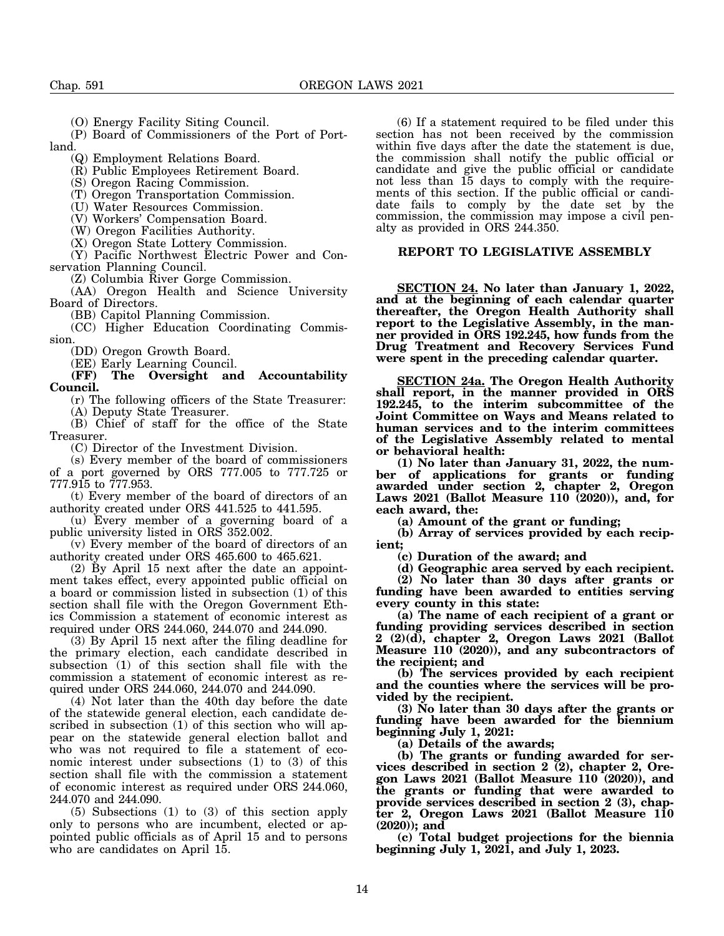(O) Energy Facility Siting Council.

(P) Board of Commissioners of the Port of Portland.

(Q) Employment Relations Board.

(R) Public Employees Retirement Board.

(S) Oregon Racing Commission.

(T) Oregon Transportation Commission.

(U) Water Resources Commission.

(V) Workers' Compensation Board.

(W) Oregon Facilities Authority.

(X) Oregon State Lottery Commission.

(Y) Pacific Northwest Electric Power and Conservation Planning Council.

(Z) Columbia River Gorge Commission.

(AA) Oregon Health and Science University Board of Directors.

(BB) Capitol Planning Commission.

(CC) Higher Education Coordinating Commission.

(DD) Oregon Growth Board.

(EE) Early Learning Council.<br>(FF) The Oversight an

**(FF) The Oversight and Accountability Council.**

(r) The following officers of the State Treasurer: (A) Deputy State Treasurer.

(B) Chief of staff for the office of the State Treasurer.

(C) Director of the Investment Division.

(s) Every member of the board of commissioners

of a port governed by ORS 777.005 to 777.725 or 777.915 to 777.953.

(t) Every member of the board of directors of an authority created under ORS 441.525 to 441.595.

(u) Every member of a governing board of a public university listed in ORS 352.002.

(v) Every member of the board of directors of an authority created under ORS 465.600 to 465.621.

(2) By April 15 next after the date an appointment takes effect, every appointed public official on a board or commission listed in subsection (1) of this section shall file with the Oregon Government Ethics Commission a statement of economic interest as required under ORS 244.060, 244.070 and 244.090.

(3) By April 15 next after the filing deadline for the primary election, each candidate described in subsection (1) of this section shall file with the commission a statement of economic interest as required under ORS 244.060, 244.070 and 244.090.

(4) Not later than the 40th day before the date of the statewide general election, each candidate described in subsection (1) of this section who will appear on the statewide general election ballot and who was not required to file a statement of economic interest under subsections (1) to (3) of this section shall file with the commission a statement of economic interest as required under ORS 244.060, 244.070 and 244.090.

(5) Subsections (1) to (3) of this section apply only to persons who are incumbent, elected or appointed public officials as of April 15 and to persons who are candidates on April 15.

(6) If a statement required to be filed under this section has not been received by the commission within five days after the date the statement is due, the commission shall notify the public official or candidate and give the public official or candidate not less than 15 days to comply with the requirements of this section. If the public official or candidate fails to comply by the date set by the commission, the commission may impose a civil penalty as provided in ORS 244.350.

#### **REPORT TO LEGISLATIVE ASSEMBLY**

**SECTION 24. No later than January 1, 2022, and at the beginning of each calendar quarter thereafter, the Oregon Health Authority shall report to the Legislative Assembly, in the manner provided in ORS 192.245, how funds from the Drug Treatment and Recovery Services Fund were spent in the preceding calendar quarter.**

**SECTION 24a. The Oregon Health Authority shall report, in the manner provided in ORS 192.245, to the interim subcommittee of the Joint Committee on Ways and Means related to human services and to the interim committees of the Legislative Assembly related to mental or behavioral health:**

**(1) No later than January 31, 2022, the number of applications for grants or funding awarded under section 2, chapter 2, Oregon Laws 2021 (Ballot Measure 110 (2020)), and, for each award, the:**

**(a) Amount of the grant or funding;**

**(b) Array of services provided by each recipient;**

**(c) Duration of the award; and**

**(d) Geographic area served by each recipient.**

**(2) No later than 30 days after grants or funding have been awarded to entities serving every county in this state:**

**(a) The name of each recipient of a grant or funding providing services described in section 2 (2)(d), chapter 2, Oregon Laws 2021 (Ballot Measure 110 (2020)), and any subcontractors of the recipient; and**

**(b) The services provided by each recipient and the counties where the services will be provided by the recipient.**

**(3) No later than 30 days after the grants or funding have been awarded for the biennium beginning July 1, 2021:**

**(a) Details of the awards;**

**(b) The grants or funding awarded for services described in section 2 (2), chapter 2, Oregon Laws 2021 (Ballot Measure 110 (2020)), and the grants or funding that were awarded to provide services described in section 2 (3), chapter 2, Oregon Laws 2021 (Ballot Measure 110 (2020)); and**

**(c) Total budget projections for the biennia beginning July 1, 2021, and July 1, 2023.**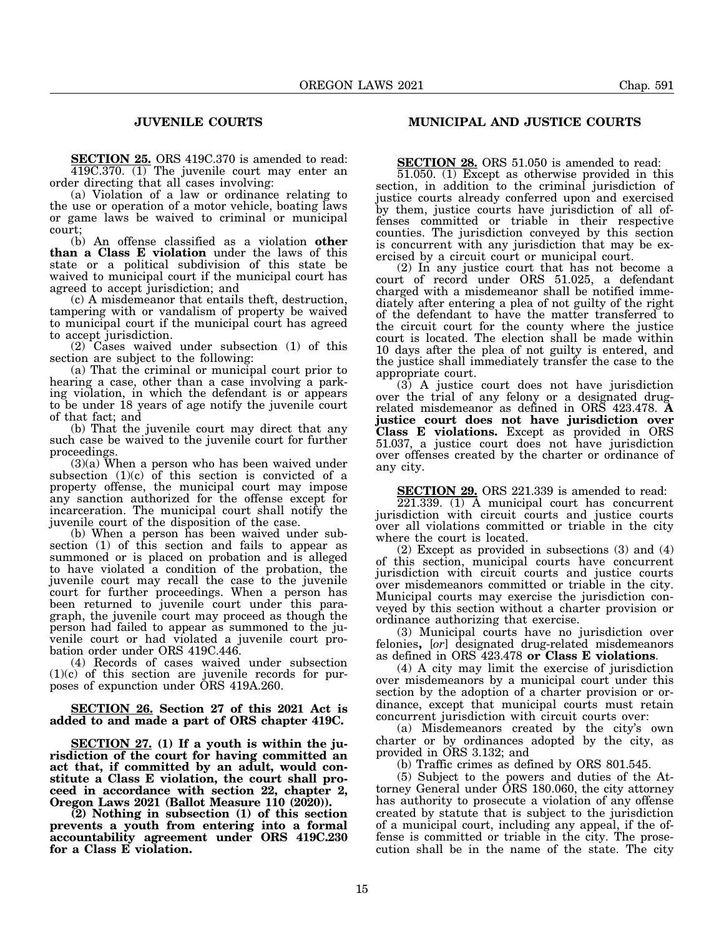# **JUVENILE COURTS**

**SECTION 25.** ORS 419C.370 is amended to read: 419C.370. (1) The juvenile court may enter an order directing that all cases involving:

(a) Violation of a law or ordinance relating to the use or operation of a motor vehicle, boating laws or game laws be waived to criminal or municipal court;

(b) An offense classified as a violation **other than a Class E violation** under the laws of this state or a political subdivision of this state be waived to municipal court if the municipal court has agreed to accept jurisdiction; and

(c) A misdemeanor that entails theft, destruction, tampering with or vandalism of property be waived to municipal court if the municipal court has agreed to accept jurisdiction.

(2) Cases waived under subsection (1) of this section are subject to the following:

(a) That the criminal or municipal court prior to hearing a case, other than a case involving a parking violation, in which the defendant is or appears to be under 18 years of age notify the juvenile court of that fact; and

(b) That the juvenile court may direct that any such case be waived to the juvenile court for further proceedings.

(3)(a) When a person who has been waived under subsection  $(1)(c)$  of this section is convicted of a property offense, the municipal court may impose any sanction authorized for the offense except for incarceration. The municipal court shall notify the juvenile court of the disposition of the case.

(b) When a person has been waived under subsection (1) of this section and fails to appear as summoned or is placed on probation and is alleged to have violated a condition of the probation, the juvenile court may recall the case to the juvenile court for further proceedings. When a person has been returned to juvenile court under this paragraph, the juvenile court may proceed as though the person had failed to appear as summoned to the juvenile court or had violated a juvenile court probation order under ORS 419C.446.

(4) Records of cases waived under subsection (1)(c) of this section are juvenile records for purposes of expunction under ORS 419A.260.

**SECTION 26. Section 27 of this 2021 Act is added to and made a part of ORS chapter 419C.**

**SECTION 27. (1) If a youth is within the jurisdiction of the court for having committed an act that, if committed by an adult, would constitute a Class E violation, the court shall proceed in accordance with section 22, chapter 2, Oregon Laws 2021 (Ballot Measure 110 (2020)).**

**(2) Nothing in subsection (1) of this section prevents a youth from entering into a formal accountability agreement under ORS 419C.230 for a Class E violation.**

# **MUNICIPAL AND JUSTICE COURTS**

**SECTION 28.** ORS 51.050 is amended to read:

51.050. (1) Except as otherwise provided in this section, in addition to the criminal jurisdiction of justice courts already conferred upon and exercised by them, justice courts have jurisdiction of all offenses committed or triable in their respective counties. The jurisdiction conveyed by this section is concurrent with any jurisdiction that may be exercised by a circuit court or municipal court.

(2) In any justice court that has not become a court of record under ORS 51.025, a defendant charged with a misdemeanor shall be notified immediately after entering a plea of not guilty of the right of the defendant to have the matter transferred to the circuit court for the county where the justice court is located. The election shall be made within 10 days after the plea of not guilty is entered, and the justice shall immediately transfer the case to the appropriate court.

(3) A justice court does not have jurisdiction over the trial of any felony or a designated drugrelated misdemeanor as defined in ORS 423.478. **A justice court does not have jurisdiction over Class E violations.** Except as provided in ORS 51.037, a justice court does not have jurisdiction over offenses created by the charter or ordinance of any city.

**SECTION 29.** ORS 221.339 is amended to read:

221.339. (1) A municipal court has concurrent jurisdiction with circuit courts and justice courts over all violations committed or triable in the city where the court is located.

(2) Except as provided in subsections (3) and (4) of this section, municipal courts have concurrent jurisdiction with circuit courts and justice courts over misdemeanors committed or triable in the city. Municipal courts may exercise the jurisdiction conveyed by this section without a charter provision or ordinance authorizing that exercise.

(3) Municipal courts have no jurisdiction over felonies**,** [*or*] designated drug-related misdemeanors as defined in ORS 423.478 **or Class E violations**.

(4) A city may limit the exercise of jurisdiction over misdemeanors by a municipal court under this section by the adoption of a charter provision or ordinance, except that municipal courts must retain concurrent jurisdiction with circuit courts over:

(a) Misdemeanors created by the city's own charter or by ordinances adopted by the city, as provided in ORS 3.132; and

(b) Traffic crimes as defined by ORS 801.545.

(5) Subject to the powers and duties of the Attorney General under ORS 180.060, the city attorney has authority to prosecute a violation of any offense created by statute that is subject to the jurisdiction of a municipal court, including any appeal, if the offense is committed or triable in the city. The prosecution shall be in the name of the state. The city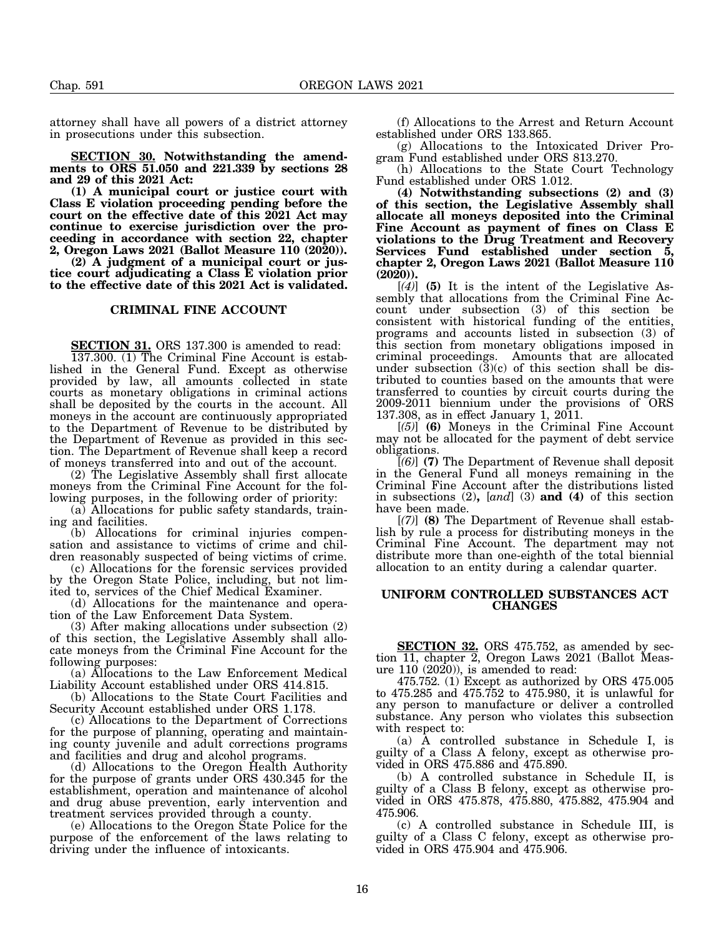attorney shall have all powers of a district attorney in prosecutions under this subsection.

**SECTION 30. Notwithstanding the amendments to ORS 51.050 and 221.339 by sections 28 and 29 of this 2021 Act:**

**(1) A municipal court or justice court with Class E violation proceeding pending before the court on the effective date of this 2021 Act may continue to exercise jurisdiction over the proceeding in accordance with section 22, chapter 2, Oregon Laws 2021 (Ballot Measure 110 (2020)).**

**(2) A judgment of a municipal court or justice court adjudicating a Class E violation prior to the effective date of this 2021 Act is validated.**

## **CRIMINAL FINE ACCOUNT**

**SECTION 31.** ORS 137.300 is amended to read:

137.300. (1) The Criminal Fine Account is established in the General Fund. Except as otherwise provided by law, all amounts collected in state courts as monetary obligations in criminal actions shall be deposited by the courts in the account. All moneys in the account are continuously appropriated to the Department of Revenue to be distributed by the Department of Revenue as provided in this section. The Department of Revenue shall keep a record of moneys transferred into and out of the account.

(2) The Legislative Assembly shall first allocate moneys from the Criminal Fine Account for the following purposes, in the following order of priority:

(a) Allocations for public safety standards, training and facilities.

(b) Allocations for criminal injuries compensation and assistance to victims of crime and children reasonably suspected of being victims of crime.

(c) Allocations for the forensic services provided by the Oregon State Police, including, but not limited to, services of the Chief Medical Examiner.

(d) Allocations for the maintenance and operation of the Law Enforcement Data System.

(3) After making allocations under subsection (2) of this section, the Legislative Assembly shall allocate moneys from the Criminal Fine Account for the following purposes:

(a) Allocations to the Law Enforcement Medical Liability Account established under ORS 414.815.

(b) Allocations to the State Court Facilities and Security Account established under ORS 1.178.

(c) Allocations to the Department of Corrections for the purpose of planning, operating and maintaining county juvenile and adult corrections programs and facilities and drug and alcohol programs.

(d) Allocations to the Oregon Health Authority for the purpose of grants under ORS 430.345 for the establishment, operation and maintenance of alcohol and drug abuse prevention, early intervention and treatment services provided through a county.

(e) Allocations to the Oregon State Police for the purpose of the enforcement of the laws relating to driving under the influence of intoxicants.

(f) Allocations to the Arrest and Return Account established under ORS 133.865.

(g) Allocations to the Intoxicated Driver Program Fund established under ORS 813.270.

(h) Allocations to the State Court Technology Fund established under ORS 1.012.

**(4) Notwithstanding subsections (2) and (3) of this section, the Legislative Assembly shall allocate all moneys deposited into the Criminal Fine Account as payment of fines on Class E violations to the Drug Treatment and Recovery Services Fund established under section 5, chapter 2, Oregon Laws 2021 (Ballot Measure 110 (2020)).**

[*(4)*] **(5)** It is the intent of the Legislative Assembly that allocations from the Criminal Fine Account under subsection (3) of this section be consistent with historical funding of the entities, programs and accounts listed in subsection (3) of this section from monetary obligations imposed in criminal proceedings. Amounts that are allocated under subsection  $(\bar{3})(c)$  of this section shall be distributed to counties based on the amounts that were transferred to counties by circuit courts during the 2009-2011 biennium under the provisions of ORS 137.308, as in effect January 1, 2011.

[*(5)*] **(6)** Moneys in the Criminal Fine Account may not be allocated for the payment of debt service obligations.

[*(6)*] **(7)** The Department of Revenue shall deposit in the General Fund all moneys remaining in the Criminal Fine Account after the distributions listed in subsections (2)**,** [*and*] (3) **and (4)** of this section have been made.

[*(7)*] **(8)** The Department of Revenue shall establish by rule a process for distributing moneys in the Criminal Fine Account. The department may not distribute more than one-eighth of the total biennial allocation to an entity during a calendar quarter.

## **UNIFORM CONTROLLED SUBSTANCES ACT CHANGES**

**SECTION 32.** ORS 475.752, as amended by section 11, chapter 2, Oregon Laws 2021 (Ballot Measure 110 (2020)), is amended to read:

475.752. (1) Except as authorized by ORS 475.005 to 475.285 and 475.752 to 475.980, it is unlawful for any person to manufacture or deliver a controlled substance. Any person who violates this subsection with respect to:

(a) A controlled substance in Schedule I, is guilty of a Class A felony, except as otherwise provided in ORS 475.886 and 475.890.

(b) A controlled substance in Schedule II, is guilty of a Class B felony, except as otherwise provided in ORS 475.878, 475.880, 475.882, 475.904 and 475.906.

(c) A controlled substance in Schedule III, is guilty of a Class C felony, except as otherwise provided in ORS 475.904 and 475.906.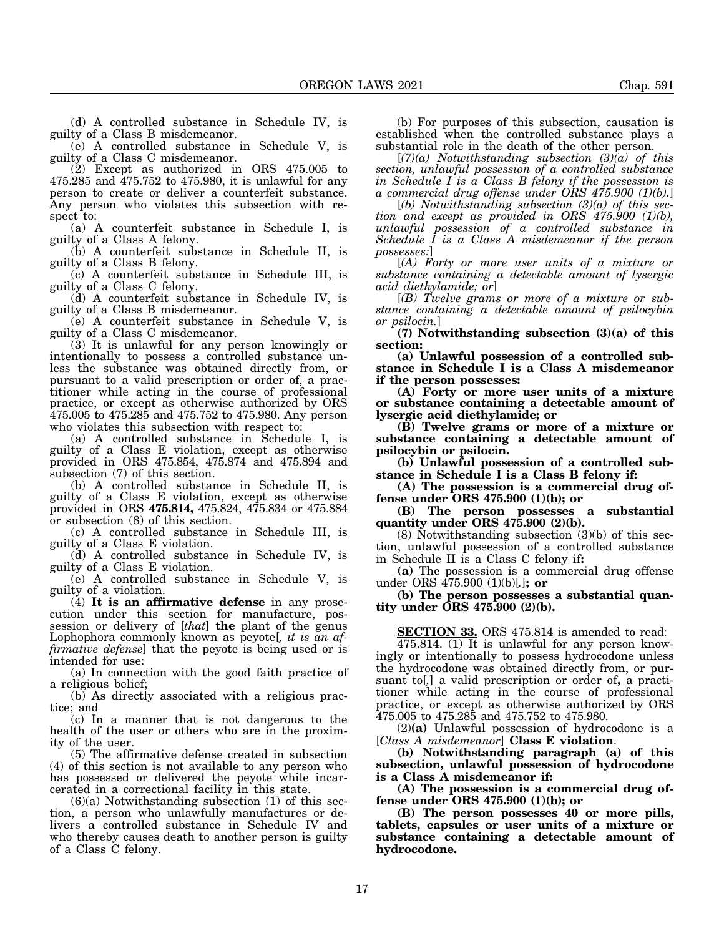(d) A controlled substance in Schedule IV, is guilty of a Class B misdemeanor.

(e) A controlled substance in Schedule V, is guilty of a Class C misdemeanor.

(2) Except as authorized in ORS 475.005 to 475.285 and 475.752 to 475.980, it is unlawful for any person to create or deliver a counterfeit substance. Any person who violates this subsection with respect to:

(a) A counterfeit substance in Schedule I, is guilty of a Class A felony.

(b) A counterfeit substance in Schedule II, is guilty of a Class B felony.

(c) A counterfeit substance in Schedule III, is guilty of a Class C felony.

(d) A counterfeit substance in Schedule IV, is guilty of a Class B misdemeanor.

(e) A counterfeit substance in Schedule V, is guilty of a Class C misdemeanor.

(3) It is unlawful for any person knowingly or intentionally to possess a controlled substance unless the substance was obtained directly from, or pursuant to a valid prescription or order of, a practitioner while acting in the course of professional practice, or except as otherwise authorized by ORS 475.005 to 475.285 and 475.752 to 475.980. Any person who violates this subsection with respect to:

(a) A controlled substance in Schedule I, is guilty of a Class E violation, except as otherwise provided in ORS 475.854, 475.874 and 475.894 and subsection (7) of this section.

(b) A controlled substance in Schedule II, is guilty of a Class E violation, except as otherwise provided in ORS **475.814,** 475.824, 475.834 or 475.884 or subsection (8) of this section.

(c) A controlled substance in Schedule III, is guilty of a Class E violation.

(d) A controlled substance in Schedule IV, is guilty of a Class E violation.

(e) A controlled substance in Schedule V, is guilty of a violation.

(4) **It is an affirmative defense** in any prosecution under this section for manufacture, possession or delivery of [*that*] **the** plant of the genus Lophophora commonly known as peyote[*, it is an affirmative defense*] that the peyote is being used or is intended for use:

(a) In connection with the good faith practice of a religious belief;

(b) As directly associated with a religious practice; and

(c) In a manner that is not dangerous to the health of the user or others who are in the proximity of the user.

(5) The affirmative defense created in subsection (4) of this section is not available to any person who has possessed or delivered the peyote while incarcerated in a correctional facility in this state.

 $(6)(a)$  Notwithstanding subsection  $(1)$  of this section, a person who unlawfully manufactures or delivers a controlled substance in Schedule IV and who thereby causes death to another person is guilty of a Class C felony.

(b) For purposes of this subsection, causation is established when the controlled substance plays a substantial role in the death of the other person.

[*(7)(a) Notwithstanding subsection (3)(a) of this section, unlawful possession of a controlled substance in Schedule I is a Class B felony if the possession is a commercial drug offense under ORS 475.900 (1)(b).*]

[*(b) Notwithstanding subsection (3)(a) of this section and except as provided in ORS 475.900 (1)(b), unlawful possession of a controlled substance in Schedule I is a Class A misdemeanor if the person possesses:*]

[*(A) Forty or more user units of a mixture or substance containing a detectable amount of lysergic acid diethylamide; or*]

[*(B) Twelve grams or more of a mixture or substance containing a detectable amount of psilocybin or psilocin.*]

**(7) Notwithstanding subsection (3)(a) of this section:**

**(a) Unlawful possession of a controlled substance in Schedule I is a Class A misdemeanor if the person possesses:**

**(A) Forty or more user units of a mixture or substance containing a detectable amount of lysergic acid diethylamide; or**

**(B) Twelve grams or more of a mixture or substance containing a detectable amount of psilocybin or psilocin.**

**(b) Unlawful possession of a controlled substance in Schedule I is a Class B felony if:**

**(A) The possession is a commercial drug offense under ORS 475.900 (1)(b); or**

**(B) The person possesses a substantial quantity under ORS 475.900 (2)(b).**

(8) Notwithstanding subsection (3)(b) of this section, unlawful possession of a controlled substance in Schedule II is a Class C felony if**:**

**(a)** The possession is a commercial drug offense under ORS 475.900 (1)(b)[*.*]**; or**

**(b) The person possesses a substantial quantity under ORS 475.900 (2)(b).**

**SECTION 33.** ORS 475.814 is amended to read:

475.814. (1) It is unlawful for any person knowingly or intentionally to possess hydrocodone unless the hydrocodone was obtained directly from, or pursuant to[*,*] a valid prescription or order of**,** a practitioner while acting in the course of professional practice, or except as otherwise authorized by ORS 475.005 to 475.285 and 475.752 to 475.980.

(2)**(a)** Unlawful possession of hydrocodone is a [*Class A misdemeanor*] **Class E violation**.

**(b) Notwithstanding paragraph (a) of this subsection, unlawful possession of hydrocodone is a Class A misdemeanor if:**

**(A) The possession is a commercial drug offense under ORS 475.900 (1)(b); or**

**(B) The person possesses 40 or more pills, tablets, capsules or user units of a mixture or substance containing a detectable amount of hydrocodone.**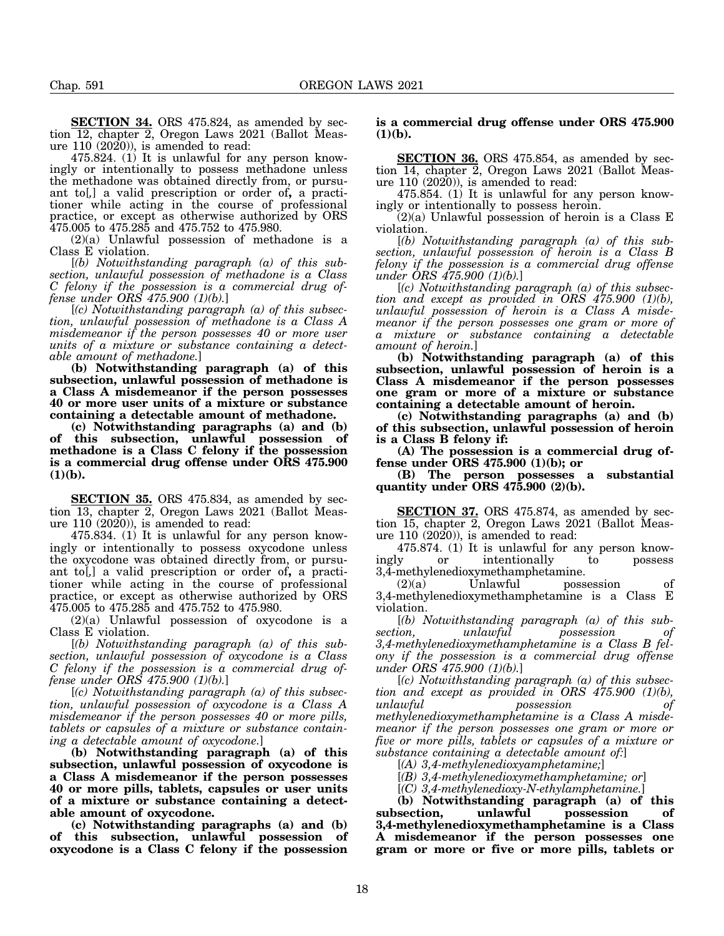**SECTION 34.** ORS 475.824, as amended by section 12, chapter 2, Oregon Laws 2021 (Ballot Measure 110 (2020)), is amended to read:

475.824. (1) It is unlawful for any person knowingly or intentionally to possess methadone unless the methadone was obtained directly from, or pursuant to[*,*] a valid prescription or order of**,** a practitioner while acting in the course of professional practice, or except as otherwise authorized by ORS 475.005 to 475.285 and 475.752 to 475.980.

(2)(a) Unlawful possession of methadone is a Class E violation.

[*(b) Notwithstanding paragraph (a) of this subsection, unlawful possession of methadone is a Class C felony if the possession is a commercial drug offense under ORS 475.900 (1)(b).*]

[*(c) Notwithstanding paragraph (a) of this subsection, unlawful possession of methadone is a Class A misdemeanor if the person possesses 40 or more user units of a mixture or substance containing a detectable amount of methadone.*]

**(b) Notwithstanding paragraph (a) of this subsection, unlawful possession of methadone is a Class A misdemeanor if the person possesses 40 or more user units of a mixture or substance containing a detectable amount of methadone.**

**(c) Notwithstanding paragraphs (a) and (b) of this subsection, unlawful possession of methadone is a Class C felony if the possession is a commercial drug offense under ORS 475.900 (1)(b).**

**SECTION 35.** ORS 475.834, as amended by section 13, chapter 2, Oregon Laws 2021 (Ballot Measure 110 (2020)), is amended to read:

475.834. (1) It is unlawful for any person knowingly or intentionally to possess oxycodone unless the oxycodone was obtained directly from, or pursuant to[*,*] a valid prescription or order of**,** a practitioner while acting in the course of professional practice, or except as otherwise authorized by ORS 475.005 to 475.285 and 475.752 to 475.980.

 $(2)(a)$  Unlawful possession of oxycodone is a Class E violation.

[*(b) Notwithstanding paragraph (a) of this subsection, unlawful possession of oxycodone is a Class C felony if the possession is a commercial drug offense under ORS 475.900 (1)(b).*]

[*(c) Notwithstanding paragraph (a) of this subsection, unlawful possession of oxycodone is a Class A misdemeanor if the person possesses 40 or more pills, tablets or capsules of a mixture or substance containing a detectable amount of oxycodone.*]

**(b) Notwithstanding paragraph (a) of this subsection, unlawful possession of oxycodone is a Class A misdemeanor if the person possesses 40 or more pills, tablets, capsules or user units of a mixture or substance containing a detectable amount of oxycodone.**

**(c) Notwithstanding paragraphs (a) and (b) of this subsection, unlawful possession of oxycodone is a Class C felony if the possession**

# **is a commercial drug offense under ORS 475.900 (1)(b).**

**SECTION 36.** ORS 475.854, as amended by section 14, chapter 2, Oregon Laws 2021 (Ballot Measure 110 (2020)), is amended to read:

475.854. (1) It is unlawful for any person knowingly or intentionally to possess heroin.

(2)(a) Unlawful possession of heroin is a Class E violation.

[*(b) Notwithstanding paragraph (a) of this subsection, unlawful possession of heroin is a Class B felony if the possession is a commercial drug offense under ORS 475.900 (1)(b).*]

[*(c) Notwithstanding paragraph (a) of this subsection and except as provided in ORS 475.900 (1)(b), unlawful possession of heroin is a Class A misdemeanor if the person possesses one gram or more of a mixture or substance containing a detectable amount of heroin.*]

**(b) Notwithstanding paragraph (a) of this subsection, unlawful possession of heroin is a Class A misdemeanor if the person possesses one gram or more of a mixture or substance containing a detectable amount of heroin.**

**(c) Notwithstanding paragraphs (a) and (b) of this subsection, unlawful possession of heroin is a Class B felony if:**

**(A) The possession is a commercial drug offense under ORS 475.900 (1)(b); or**

**(B) The person possesses a substantial quantity under ORS 475.900 (2)(b).**

**SECTION 37.** ORS 475.874, as amended by section 15, chapter 2, Oregon Laws 2021 (Ballot Measure 110 (2020)), is amended to read:

475.874. (1) It is unlawful for any person knowingly or intentionally to possess

 $3,4$ -methylenedioxymethamphetamine.<br>(2)(a) Unlawful poss (2)(a) Unlawful possession of 3,4-methylenedioxymethamphetamine is a Class E violation.

[*(b) Notwithstanding paragraph (a) of this subsection,* unlawful possession *3,4-methylenedioxymethamphetamine is a Class B felony if the possession is a commercial drug offense under ORS 475.900 (1)(b).*]

[*(c) Notwithstanding paragraph (a) of this subsection and except as provided in ORS 475.900 (1)(b), unlawful possession of methylenedioxymethamphetamine is a Class A misdemeanor if the person possesses one gram or more or five or more pills, tablets or capsules of a mixture or substance containing a detectable amount of:*]

[*(A) 3,4-methylenedioxyamphetamine;*]

[*(B) 3,4-methylenedioxymethamphetamine; or*]

[*(C) 3,4-methylenedioxy-N-ethylamphetamine.*]

**(b) Notwithstanding paragraph (a) of this subsection, unlawful possession of 3,4-methylenedioxymethamphetamine is a Class A misdemeanor if the person possesses one gram or more or five or more pills, tablets or**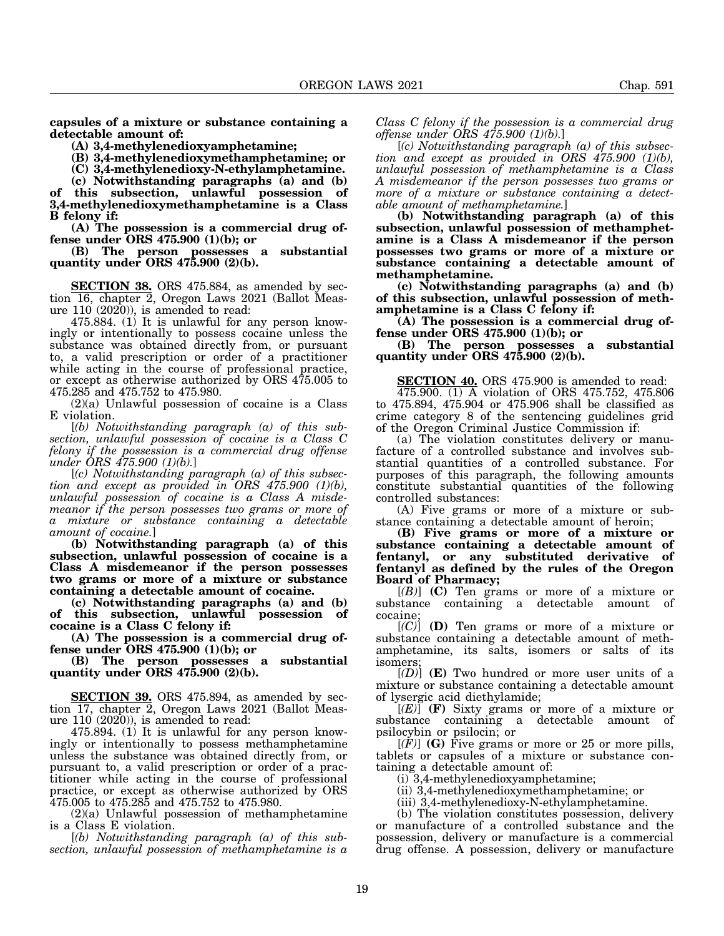**capsules of a mixture or substance containing a detectable amount of:**

**(A) 3,4-methylenedioxyamphetamine;**

**(B) 3,4-methylenedioxymethamphetamine; or**

**(C) 3,4-methylenedioxy-N-ethylamphetamine.**

**(c) Notwithstanding paragraphs (a) and (b) of this subsection, unlawful possession of 3,4-methylenedioxymethamphetamine is a Class B felony if:**

**(A) The possession is a commercial drug offense under ORS 475.900 (1)(b); or**

**(B) The person possesses a substantial quantity under ORS 475.900 (2)(b).**

**SECTION 38.** ORS 475.884, as amended by section 16, chapter 2, Oregon Laws 2021 (Ballot Measure 110 (2020)), is amended to read:

475.884. (1) It is unlawful for any person knowingly or intentionally to possess cocaine unless the substance was obtained directly from, or pursuant to, a valid prescription or order of a practitioner while acting in the course of professional practice, or except as otherwise authorized by ORS 475.005 to 475.285 and 475.752 to 475.980.

(2)(a) Unlawful possession of cocaine is a Class E violation.

[*(b) Notwithstanding paragraph (a) of this subsection, unlawful possession of cocaine is a Class C felony if the possession is a commercial drug offense under ORS 475.900 (1)(b).*]

[*(c) Notwithstanding paragraph (a) of this subsection and except as provided in ORS 475.900 (1)(b), unlawful possession of cocaine is a Class A misdemeanor if the person possesses two grams or more of* mixture or substance containing a detectable *amount of cocaine.*]

**(b) Notwithstanding paragraph (a) of this subsection, unlawful possession of cocaine is a Class A misdemeanor if the person possesses two grams or more of a mixture or substance containing a detectable amount of cocaine.**

**(c) Notwithstanding paragraphs (a) and (b) of this subsection, unlawful possession of cocaine is a Class C felony if:**

**(A) The possession is a commercial drug offense under ORS 475.900 (1)(b); or**

**(B) The person possesses a substantial quantity under ORS 475.900 (2)(b).**

**SECTION 39.** ORS 475.894, as amended by section 17, chapter 2, Oregon Laws 2021 (Ballot Measure 110 (2020)), is amended to read:

475.894. (1) It is unlawful for any person knowingly or intentionally to possess methamphetamine unless the substance was obtained directly from, or pursuant to, a valid prescription or order of a practitioner while acting in the course of professional practice, or except as otherwise authorized by ORS 475.005 to 475.285 and 475.752 to 475.980.

 $(2)(a)$  Unlawful possession of methamphetamine is a Class E violation.

[*(b) Notwithstanding paragraph (a) of this subsection, unlawful possession of methamphetamine is a*

*Class C felony if the possession is a commercial drug offense under ORS 475.900 (1)(b).*]

[*(c) Notwithstanding paragraph (a) of this subsection and except as provided in ORS 475.900 (1)(b), unlawful possession of methamphetamine is a Class A misdemeanor if the person possesses two grams or more of a mixture or substance containing a detectable amount of methamphetamine.*]

**(b) Notwithstanding paragraph (a) of this subsection, unlawful possession of methamphetamine is a Class A misdemeanor if the person possesses two grams or more of a mixture or substance containing a detectable amount of methamphetamine.**

**(c) Notwithstanding paragraphs (a) and (b) of this subsection, unlawful possession of methamphetamine is a Class C felony if:**

**(A) The possession is a commercial drug offense under ORS 475.900 (1)(b); or**

**(B) The person possesses a substantial quantity under ORS 475.900 (2)(b).**

**SECTION 40.** ORS 475.900 is amended to read:

475.900. (1) A violation of ORS 475.752, 475.806 to 475.894, 475.904 or 475.906 shall be classified as crime category 8 of the sentencing guidelines grid of the Oregon Criminal Justice Commission if:

(a) The violation constitutes delivery or manufacture of a controlled substance and involves substantial quantities of a controlled substance. For purposes of this paragraph, the following amounts constitute substantial quantities of the following controlled substances:

(A) Five grams or more of a mixture or substance containing a detectable amount of heroin;

**(B) Five grams or more of a mixture or substance containing a detectable amount of fentanyl, or any substituted derivative of fentanyl as defined by the rules of the Oregon Board of Pharmacy;**

[*(B)*] **(C)** Ten grams or more of a mixture or substance containing a detectable amount of cocaine;

[*(C)*] **(D)** Ten grams or more of a mixture or substance containing a detectable amount of methamphetamine, its salts, isomers or salts of its isomers;

[*(D)*] **(E)** Two hundred or more user units of a mixture or substance containing a detectable amount of lysergic acid diethylamide;

[*(E)*] **(F)** Sixty grams or more of a mixture or substance containing a detectable amount of psilocybin or psilocin; or

[*(F)*] **(G)** Five grams or more or 25 or more pills, tablets or capsules of a mixture or substance containing a detectable amount of:

(i) 3,4-methylenedioxyamphetamine;

(ii) 3,4-methylenedioxymethamphetamine; or

(iii) 3,4-methylenedioxy-N-ethylamphetamine.

(b) The violation constitutes possession, delivery or manufacture of a controlled substance and the possession, delivery or manufacture is a commercial drug offense. A possession, delivery or manufacture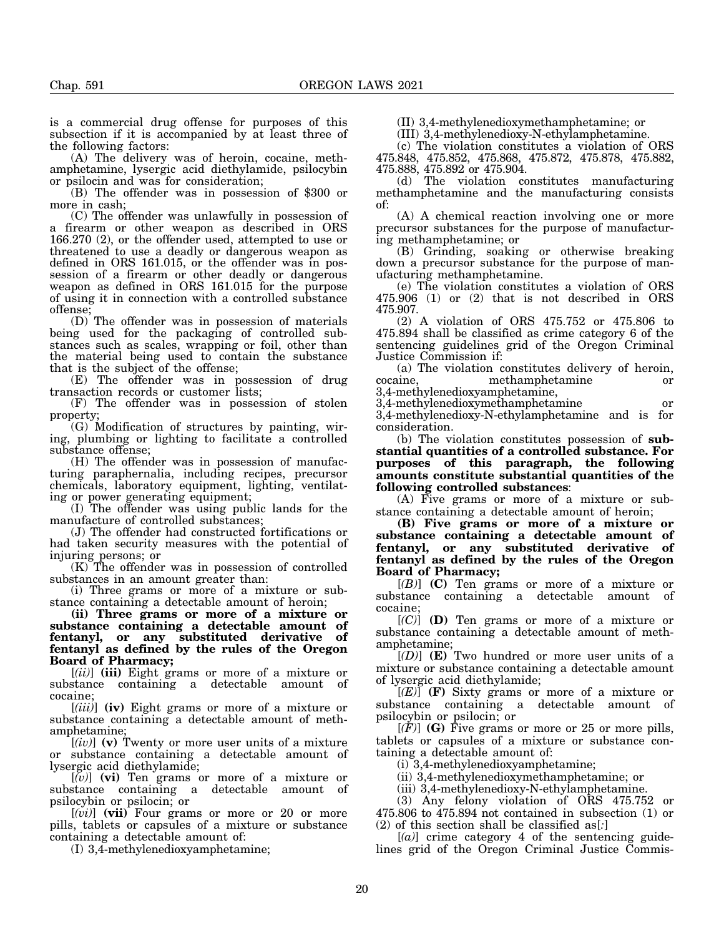is a commercial drug offense for purposes of this subsection if it is accompanied by at least three of the following factors:

(A) The delivery was of heroin, cocaine, methamphetamine, lysergic acid diethylamide, psilocybin or psilocin and was for consideration;

(B) The offender was in possession of \$300 or more in cash;

(C) The offender was unlawfully in possession of a firearm or other weapon as described in ORS 166.270 (2), or the offender used, attempted to use or threatened to use a deadly or dangerous weapon as defined in ORS 161.015, or the offender was in possession of a firearm or other deadly or dangerous weapon as defined in ORS 161.015 for the purpose of using it in connection with a controlled substance offense;

(D) The offender was in possession of materials being used for the packaging of controlled substances such as scales, wrapping or foil, other than the material being used to contain the substance that is the subject of the offense;

(E) The offender was in possession of drug transaction records or customer lists;

(F) The offender was in possession of stolen property;

(G) Modification of structures by painting, wiring, plumbing or lighting to facilitate a controlled substance offense;

(H) The offender was in possession of manufacturing paraphernalia, including recipes, precursor chemicals, laboratory equipment, lighting, ventilating or power generating equipment;

(I) The offender was using public lands for the manufacture of controlled substances;

(J) The offender had constructed fortifications or had taken security measures with the potential of injuring persons; or

(K) The offender was in possession of controlled substances in an amount greater than:

(i) Three grams or more of a mixture or substance containing a detectable amount of heroin;

**(ii) Three grams or more of a mixture or substance containing a detectable amount of fentanyl, or any substituted derivative of fentanyl as defined by the rules of the Oregon Board of Pharmacy;**

[*(ii)*] **(iii)** Eight grams or more of a mixture or substance containing a detectable amount of cocaine;

[*(iii)*] **(iv)** Eight grams or more of a mixture or substance containing a detectable amount of methamphetamine;

[*(iv)*] **(v)** Twenty or more user units of a mixture or substance containing a detectable amount of lysergic acid diethylamide;

[*(v)*] **(vi)** Ten grams or more of a mixture or substance containing a detectable amount of psilocybin or psilocin; or

[*(vi)*] **(vii)** Four grams or more or 20 or more pills, tablets or capsules of a mixture or substance containing a detectable amount of:

(I) 3,4-methylenedioxyamphetamine;

(II) 3,4-methylenedioxymethamphetamine; or

(III) 3,4-methylenedioxy-N-ethylamphetamine.

(c) The violation constitutes a violation of ORS 475.848, 475.852, 475.868, 475.872, 475.878, 475.882, 475.888, 475.892 or 475.904.

(d) The violation constitutes manufacturing methamphetamine and the manufacturing consists of:

(A) A chemical reaction involving one or more precursor substances for the purpose of manufacturing methamphetamine; or

(B) Grinding, soaking or otherwise breaking down a precursor substance for the purpose of manufacturing methamphetamine.

(e) The violation constitutes a violation of ORS 475.906 (1) or (2) that is not described in ORS 475.907.

(2) A violation of ORS 475.752 or 475.806 to 475.894 shall be classified as crime category 6 of the sentencing guidelines grid of the Oregon Criminal Justice Commission if:

(a) The violation constitutes delivery of heroin, cocaine, methamphetamine 3,4-methylenedioxyamphetamine,

3,4-methylenedioxymethamphetamine or 3,4-methylenedioxy-N-ethylamphetamine and is for consideration.

(b) The violation constitutes possession of **substantial quantities of a controlled substance. For purposes of this paragraph, the following amounts constitute substantial quantities of the following controlled substances**:

(A) Five grams or more of a mixture or substance containing a detectable amount of heroin;

**(B) Five grams or more of a mixture or substance containing a detectable amount of fentanyl, or any substituted derivative of fentanyl as defined by the rules of the Oregon Board of Pharmacy;**

[*(B)*] **(C)** Ten grams or more of a mixture or substance containing a detectable amount of cocaine;

[*(C)*] **(D)** Ten grams or more of a mixture or substance containing a detectable amount of methamphetamine;

[*(D)*] **(E)** Two hundred or more user units of a mixture or substance containing a detectable amount of lysergic acid diethylamide;

[*(E)*] **(F)** Sixty grams or more of a mixture or substance containing a detectable amount of psilocybin or psilocin; or

 $[(F)]$  (G) Five grams or more or 25 or more pills, tablets or capsules of a mixture or substance containing a detectable amount of:

(i) 3,4-methylenedioxyamphetamine;

(ii) 3,4-methylenedioxymethamphetamine; or

(iii) 3,4-methylenedioxy-N-ethylamphetamine.

(3) Any felony violation of ORS 475.752 or 475.806 to 475.894 not contained in subsection (1) or (2) of this section shall be classified as[*:*]

[*(a)*] crime category 4 of the sentencing guidelines grid of the Oregon Criminal Justice Commis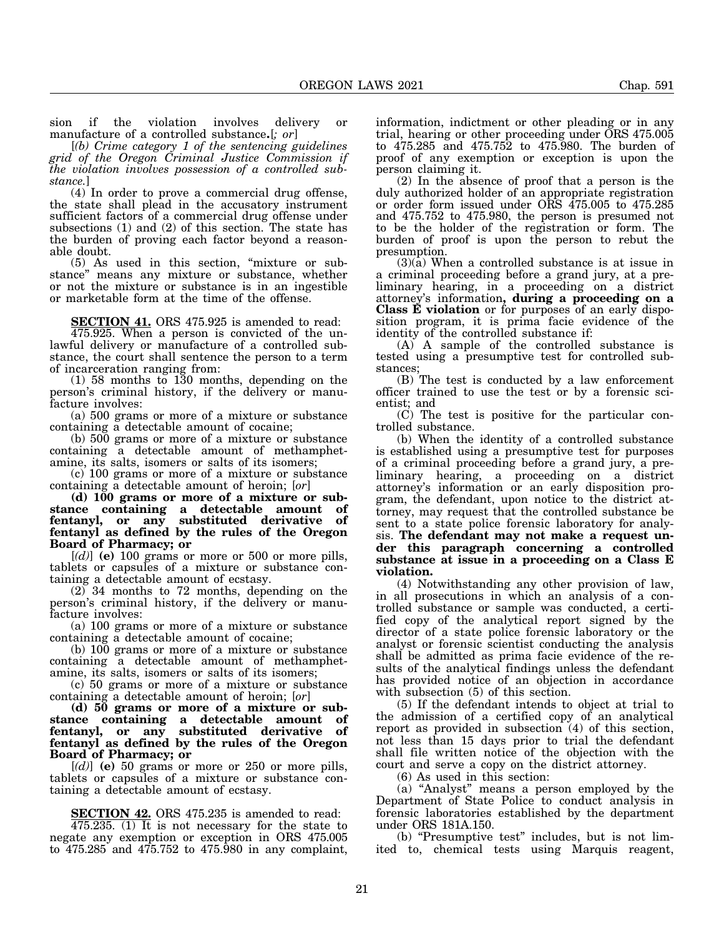sion if the violation involves delivery or manufacture of a controlled substance**.**[*; or*]

[*(b) Crime category 1 of the sentencing guidelines grid of the Oregon Criminal Justice Commission if the violation involves possession of a controlled substance.*]

(4) In order to prove a commercial drug offense, the state shall plead in the accusatory instrument sufficient factors of a commercial drug offense under subsections (1) and (2) of this section. The state has the burden of proving each factor beyond a reasonable doubt.

(5) As used in this section, "mixture or substance" means any mixture or substance, whether or not the mixture or substance is in an ingestible or marketable form at the time of the offense.

**SECTION 41.** ORS 475.925 is amended to read:

475.925. When a person is convicted of the unlawful delivery or manufacture of a controlled substance, the court shall sentence the person to a term of incarceration ranging from:

(1) 58 months to 130 months, depending on the person's criminal history, if the delivery or manufacture involves:

(a) 500 grams or more of a mixture or substance containing a detectable amount of cocaine;

(b) 500 grams or more of a mixture or substance containing a detectable amount of methamphetamine, its salts, isomers or salts of its isomers;

(c) 100 grams or more of a mixture or substance containing a detectable amount of heroin; [*or*]

**(d) 100 grams or more of a mixture or substance containing a detectable amount of fentanyl, or any substituted derivative of fentanyl as defined by the rules of the Oregon Board of Pharmacy; or**

[*(d)*] **(e)** 100 grams or more or 500 or more pills, tablets or capsules of a mixture or substance containing a detectable amount of ecstasy.

(2) 34 months to 72 months, depending on the person's criminal history, if the delivery or manufacture involves:

(a) 100 grams or more of a mixture or substance containing a detectable amount of cocaine;

(b) 100 grams or more of a mixture or substance containing a detectable amount of methamphetamine, its salts, isomers or salts of its isomers;

(c) 50 grams or more of a mixture or substance containing a detectable amount of heroin; [*or*]

**(d) 50 grams or more of a mixture or substance containing a detectable amount of fentanyl, or any substituted derivative of fentanyl as defined by the rules of the Oregon Board of Pharmacy; or**

[*(d)*] **(e)** 50 grams or more or 250 or more pills, tablets or capsules of a mixture or substance containing a detectable amount of ecstasy.

**SECTION 42.** ORS 475.235 is amended to read: 475.235. (1) It is not necessary for the state to negate any exemption or exception in ORS 475.005 to 475.285 and 475.752 to 475.980 in any complaint,

information, indictment or other pleading or in any trial, hearing or other proceeding under ORS 475.005 to 475.285 and 475.752 to 475.980. The burden of proof of any exemption or exception is upon the person claiming it.

(2) In the absence of proof that a person is the duly authorized holder of an appropriate registration or order form issued under ORS 475.005 to 475.285 and 475.752 to 475.980, the person is presumed not to be the holder of the registration or form. The burden of proof is upon the person to rebut the presumption.

 $(3)(a)$  When a controlled substance is at issue in a criminal proceeding before a grand jury, at a preliminary hearing, in a proceeding on a district attorney's information**, during a proceeding on a Class E violation** or for purposes of an early disposition program, it is prima facie evidence of the identity of the controlled substance if:

(A) A sample of the controlled substance is tested using a presumptive test for controlled substances;

(B) The test is conducted by a law enforcement officer trained to use the test or by a forensic scientist; and

(C) The test is positive for the particular controlled substance.

(b) When the identity of a controlled substance is established using a presumptive test for purposes of a criminal proceeding before a grand jury, a preliminary hearing, a proceeding on a district attorney's information or an early disposition program, the defendant, upon notice to the district attorney, may request that the controlled substance be sent to a state police forensic laboratory for analysis. **The defendant may not make a request under this paragraph concerning a controlled substance at issue in a proceeding on a Class E violation.**

(4) Notwithstanding any other provision of law, in all prosecutions in which an analysis of a controlled substance or sample was conducted, a certified copy of the analytical report signed by the director of a state police forensic laboratory or the analyst or forensic scientist conducting the analysis shall be admitted as prima facie evidence of the results of the analytical findings unless the defendant has provided notice of an objection in accordance with subsection (5) of this section.

(5) If the defendant intends to object at trial to the admission of a certified copy of an analytical report as provided in subsection (4) of this section, not less than 15 days prior to trial the defendant shall file written notice of the objection with the court and serve a copy on the district attorney.

(6) As used in this section:

(a) "Analyst" means a person employed by the Department of State Police to conduct analysis in forensic laboratories established by the department under ORS 181A.150.

(b) "Presumptive test" includes, but is not limited to, chemical tests using Marquis reagent,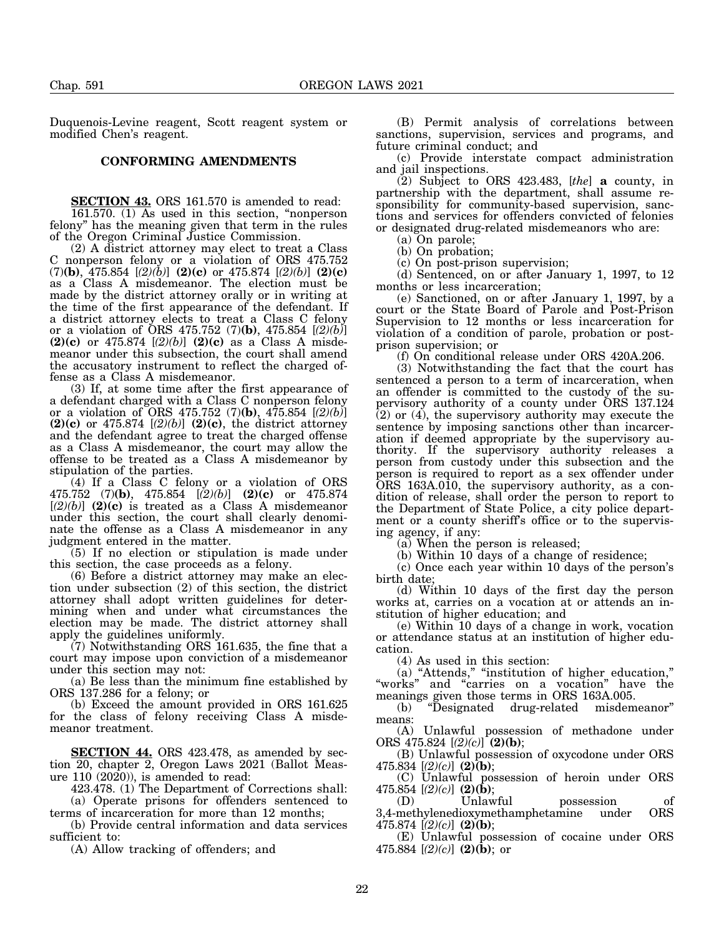Duquenois-Levine reagent, Scott reagent system or modified Chen's reagent.

## **CONFORMING AMENDMENTS**

**SECTION 43.** ORS 161.570 is amended to read: 161.570. (1) As used in this section, "nonperson felony" has the meaning given that term in the rules of the Oregon Criminal Justice Commission.

(2) A district attorney may elect to treat a Class nonperson felony or a violation of ORS 475.752 (7)**(b)**, 475.854 [*(2)(b)*] **(2)(c)** or 475.874 [*(2)(b)*] **(2)(c)** as a Class A misdemeanor. The election must be made by the district attorney orally or in writing at the time of the first appearance of the defendant. If a district attorney elects to treat a Class C felony or a violation of ORS 475.752 (7)**(b)**, 475.854 [*(2)(b)*] **(2)(c)** or 475.874 [*(2)(b)*] **(2)(c)** as a Class A misdemeanor under this subsection, the court shall amend the accusatory instrument to reflect the charged offense as a Class A misdemeanor.

(3) If, at some time after the first appearance of a defendant charged with a Class C nonperson felony or a violation of ORS 475.752 (7)**(b)**, 475.854 [*(2)(b)*] **(2)(c)** or 475.874 [*(2)(b)*] **(2)(c)**, the district attorney and the defendant agree to treat the charged offense as a Class A misdemeanor, the court may allow the offense to be treated as a Class A misdemeanor by stipulation of the parties.

(4) If a Class C felony or a violation of ORS 475.752 (7)**(b)**, 475.854 [*(2)(b)*] **(2)(c)** or 475.874  $[(2)(b)]$  (2)(c) is treated as a Class A misdemeanor under this section, the court shall clearly denominate the offense as a Class A misdemeanor in any judgment entered in the matter.

(5) If no election or stipulation is made under this section, the case proceeds as a felony.

(6) Before a district attorney may make an election under subsection (2) of this section, the district attorney shall adopt written guidelines for determining when and under what circumstances the election may be made. The district attorney shall apply the guidelines uniformly.

(7) Notwithstanding ORS 161.635, the fine that a court may impose upon conviction of a misdemeanor under this section may not:

(a) Be less than the minimum fine established by ORS 137.286 for a felony; or

(b) Exceed the amount provided in ORS 161.625 for the class of felony receiving Class A misdemeanor treatment.

**SECTION 44.** ORS 423.478, as amended by section 20, chapter 2, Oregon Laws 2021 (Ballot Measure  $110$   $(2020)$ , is amended to read:

423.478. (1) The Department of Corrections shall:

(a) Operate prisons for offenders sentenced to terms of incarceration for more than 12 months;

(b) Provide central information and data services sufficient to:

(A) Allow tracking of offenders; and

(B) Permit analysis of correlations between sanctions, supervision, services and programs, and future criminal conduct; and

(c) Provide interstate compact administration and jail inspections.

(2) Subject to ORS 423.483, [*the*] **a** county, in partnership with the department, shall assume responsibility for community-based supervision, sanctions and services for offenders convicted of felonies or designated drug-related misdemeanors who are:

(a) On parole;

(b) On probation;

(c) On post-prison supervision;

(d) Sentenced, on or after January 1, 1997, to 12 months or less incarceration;

(e) Sanctioned, on or after January 1, 1997, by a court or the State Board of Parole and Post-Prison Supervision to 12 months or less incarceration for violation of a condition of parole, probation or postprison supervision; or

(f) On conditional release under ORS 420A.206.

(3) Notwithstanding the fact that the court has sentenced a person to a term of incarceration, when an offender is committed to the custody of the supervisory authority of a county under ORS 137.124  $(2)$  or  $(4)$ , the supervisory authority may execute the sentence by imposing sanctions other than incarceration if deemed appropriate by the supervisory authority. If the supervisory authority releases a person from custody under this subsection and the person is required to report as a sex offender under ORS 163A.010, the supervisory authority, as a condition of release, shall order the person to report to the Department of State Police, a city police department or a county sheriff's office or to the supervising agency, if any:

(a) When the person is released;

(b) Within 10 days of a change of residence;

(c) Once each year within 10 days of the person's birth date;

(d) Within 10 days of the first day the person works at, carries on a vocation at or attends an institution of higher education; and

(e) Within 10 days of a change in work, vocation or attendance status at an institution of higher education.

(4) As used in this section:

(a) "Attends," "institution of higher education," "works" and "carries on a vocation" have the meanings given those terms in ORS 163A.005.

(b) "Designated drug-related misdemeanor" means:

(A) Unlawful possession of methadone under ORS 475.824 [*(2)(c)*] **(2)(b)**;

(B) Unlawful possession of oxycodone under ORS 475.834 [*(2)(c)*] **(2)(b)**;

(C) Unlawful possession of heroin under ORS 475.854 [*(2)(c)*] **(2)(b)**;

possession of 3,4-methylenedioxymethamphetamine under ORS 475.874 [*(2)(c)*] **(2)(b)**;

(E) Unlawful possession of cocaine under ORS 475.884  $[(2)(c)]$  (2)(b); or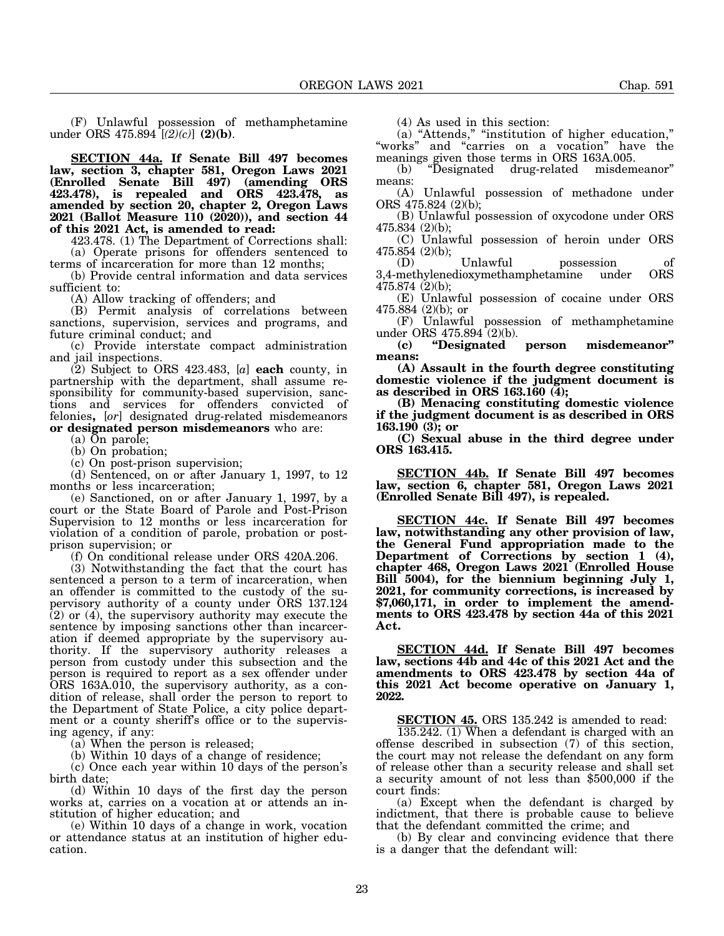(F) Unlawful possession of methamphetamine under ORS 475.894 [*(2)(c)*] **(2)(b)**.

**SECTION 44a. If Senate Bill 497 becomes law, section 3, chapter 581, Oregon Laws 2021 (Enrolled Senate Bill 497) (amending ORS 423.478), is repealed and ORS 423.478, as amended by section 20, chapter 2, Oregon Laws 2021 (Ballot Measure 110 (2020)), and section 44 of this 2021 Act, is amended to read:**

423.478. (1) The Department of Corrections shall: (a) Operate prisons for offenders sentenced to

terms of incarceration for more than 12 months;

(b) Provide central information and data services sufficient to:

(A) Allow tracking of offenders; and

(B) Permit analysis of correlations between sanctions, supervision, services and programs, and future criminal conduct; and

(c) Provide interstate compact administration and jail inspections.

(2) Subject to ORS 423.483, [*a*] **each** county, in partnership with the department, shall assume responsibility for community-based supervision, sanctions and services for offenders convicted of felonies**,** [*or*] designated drug-related misdemeanors **or designated person misdemeanors** who are:

(a) On parole;

(b) On probation;

(c) On post-prison supervision;

(d) Sentenced, on or after January 1, 1997, to 12 months or less incarceration;

(e) Sanctioned, on or after January 1, 1997, by a court or the State Board of Parole and Post-Prison Supervision to 12 months or less incarceration for violation of a condition of parole, probation or postprison supervision; or

(f) On conditional release under ORS 420A.206.

(3) Notwithstanding the fact that the court has sentenced a person to a term of incarceration, when an offender is committed to the custody of the supervisory authority of a county under ORS 137.124 (2) or (4), the supervisory authority may execute the sentence by imposing sanctions other than incarceration if deemed appropriate by the supervisory authority. If the supervisory authority releases a person from custody under this subsection and the person is required to report as a sex offender under ORS 163A.010, the supervisory authority, as a condition of release, shall order the person to report to the Department of State Police, a city police department or a county sheriff's office or to the supervising agency, if any:

(a) When the person is released;

(b) Within 10 days of a change of residence;

(c) Once each year within 10 days of the person's birth date;

(d) Within 10 days of the first day the person works at, carries on a vocation at or attends an institution of higher education; and

(e) Within 10 days of a change in work, vocation or attendance status at an institution of higher education.

(4) As used in this section:

(a) "Attends," "institution of higher education," "works" and "carries on a vocation" have the meanings given those terms in ORS 163A.005.

(b) "Designated drug-related misdemeanor" means:

(A) Unlawful possession of methadone under ORS 475.824 (2)(b);

(B) Unlawful possession of oxycodone under ORS 475.834 (2)(b);

(C) Unlawful possession of heroin under ORS 475.854 (2)(b);

(D) Unlawful possession of<br>methylenedioxymethamphetamine under ORS  $3,4$ -methylenedioxymethamphetamine 475.874 (2)(b);

(E) Unlawful possession of cocaine under ORS 475.884 (2)(b); or

(F) Unlawful possession of methamphetamine under ORS 475.894 (2)(b).

**(c) "Designated person misdemeanor" means:**

**(A) Assault in the fourth degree constituting domestic violence if the judgment document is as described in ORS 163.160 (4);**

**(B) Menacing constituting domestic violence if the judgment document is as described in ORS 163.190 (3); or**

**(C) Sexual abuse in the third degree under ORS 163.415.**

**SECTION 44b. If Senate Bill 497 becomes law, section 6, chapter 581, Oregon Laws 2021 (Enrolled Senate Bill 497), is repealed.**

**SECTION 44c. If Senate Bill 497 becomes law, notwithstanding any other provision of law, the General Fund appropriation made to the Department of Corrections by section 1 (4), chapter 468, Oregon Laws 2021 (Enrolled House Bill 5004), for the biennium beginning July 1, 2021, for community corrections, is increased by \$7,060,171, in order to implement the amendments to ORS 423.478 by section 44a of this 2021 Act.**

**SECTION 44d. If Senate Bill 497 becomes law, sections 44b and 44c of this 2021 Act and the amendments to ORS 423.478 by section 44a of this 2021 Act become operative on January 1, 2022.**

**SECTION 45.** ORS 135.242 is amended to read:

135.242. (1) When a defendant is charged with an offense described in subsection (7) of this section, the court may not release the defendant on any form of release other than a security release and shall set a security amount of not less than \$500,000 if the court finds:

(a) Except when the defendant is charged by indictment, that there is probable cause to believe that the defendant committed the crime; and

(b) By clear and convincing evidence that there is a danger that the defendant will: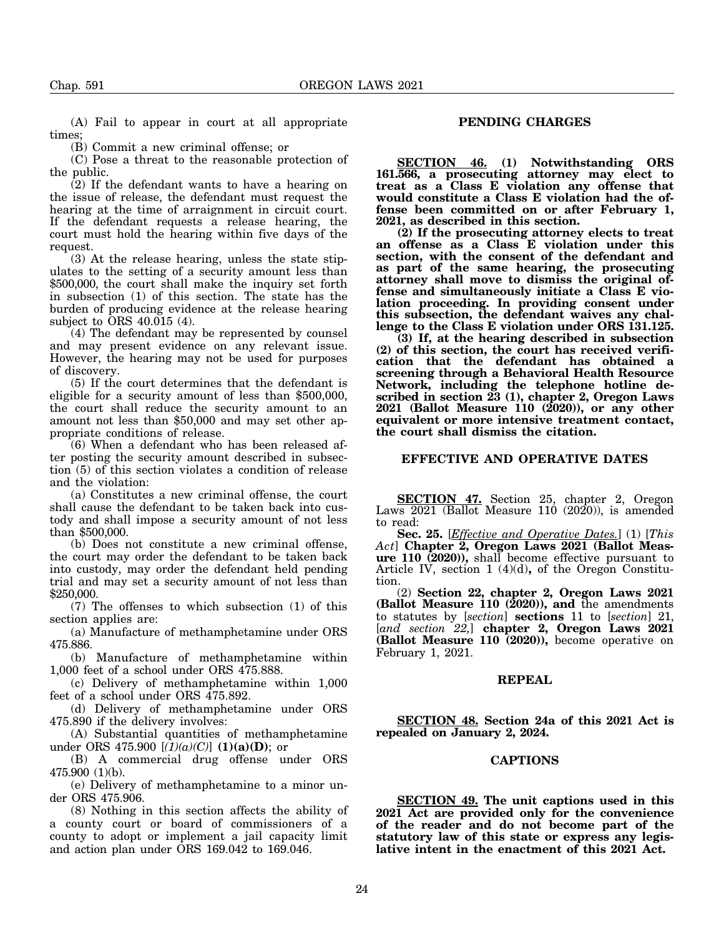(A) Fail to appear in court at all appropriate times;

(B) Commit a new criminal offense; or

(C) Pose a threat to the reasonable protection of the public.

(2) If the defendant wants to have a hearing on the issue of release, the defendant must request the hearing at the time of arraignment in circuit court. If the defendant requests a release hearing, the court must hold the hearing within five days of the request.

(3) At the release hearing, unless the state stipulates to the setting of a security amount less than \$500,000, the court shall make the inquiry set forth in subsection (1) of this section. The state has the burden of producing evidence at the release hearing subject to ORS 40.015 (4).

(4) The defendant may be represented by counsel and may present evidence on any relevant issue. However, the hearing may not be used for purposes of discovery.

(5) If the court determines that the defendant is eligible for a security amount of less than \$500,000, the court shall reduce the security amount to an amount not less than \$50,000 and may set other appropriate conditions of release.

(6) When a defendant who has been released after posting the security amount described in subsection (5) of this section violates a condition of release and the violation:

(a) Constitutes a new criminal offense, the court shall cause the defendant to be taken back into custody and shall impose a security amount of not less than \$500,000.

(b) Does not constitute a new criminal offense, the court may order the defendant to be taken back into custody, may order the defendant held pending trial and may set a security amount of not less than \$250,000.

(7) The offenses to which subsection (1) of this section applies are:

(a) Manufacture of methamphetamine under ORS 475.886.

(b) Manufacture of methamphetamine within 1,000 feet of a school under ORS 475.888.

(c) Delivery of methamphetamine within 1,000 feet of a school under ORS 475.892.

(d) Delivery of methamphetamine under ORS 475.890 if the delivery involves:

(A) Substantial quantities of methamphetamine under ORS 475.900  $[(1)(a)(C)]$  (1)(a)(D); or

(B) A commercial drug offense under ORS 475.900 (1)(b).

(e) Delivery of methamphetamine to a minor under ORS 475.906.

(8) Nothing in this section affects the ability of a county court or board of commissioners of a county to adopt or implement a jail capacity limit and action plan under ORS 169.042 to 169.046.

# **PENDING CHARGES**

**SECTION 46. (1) Notwithstanding ORS 161.566, a prosecuting attorney may elect to treat as a Class E violation any offense that would constitute a Class E violation had the offense been committed on or after February 1, 2021, as described in this section.**

**(2) If the prosecuting attorney elects to treat an offense as a Class E violation under this section, with the consent of the defendant and as part of the same hearing, the prosecuting attorney shall move to dismiss the original offense and simultaneously initiate a Class E violation proceeding. In providing consent under this subsection, the defendant waives any challenge to the Class E violation under ORS 131.125.**

**(3) If, at the hearing described in subsection (2) of this section, the court has received verification that the defendant has obtained a screening through a Behavioral Health Resource Network, including the telephone hotline described in section 23 (1), chapter 2, Oregon Laws 2021 (Ballot Measure 110 (2020)), or any other equivalent or more intensive treatment contact, the court shall dismiss the citation.**

## **EFFECTIVE AND OPERATIVE DATES**

**SECTION 47.** Section 25, chapter 2, Oregon Laws 2021 (Ballot Measure 110 (2020)), is amended to read:

**Sec. 25.** [*Effective and Operative Dates.*] (1) [*This Act*] **Chapter 2, Oregon Laws 2021 (Ballot Measure 110 (2020)),** shall become effective pursuant to Article IV, section 1 (4)(d)**,** of the Oregon Constitution.

(2) **Section 22, chapter 2, Oregon Laws 2021 (Ballot Measure 110 (2020)), and** the amendments to statutes by [*section*] **sections** 11 to [*section*] 21, [*and section 22,*] **chapter 2, Oregon Laws 2021 (Ballot Measure 110 (2020)),** become operative on February 1, 2021.

#### **REPEAL**

**SECTION 48. Section 24a of this 2021 Act is repealed on January 2, 2024.**

### **CAPTIONS**

**SECTION 49. The unit captions used in this 2021 Act are provided only for the convenience of the reader and do not become part of the statutory law of this state or express any legislative intent in the enactment of this 2021 Act.**